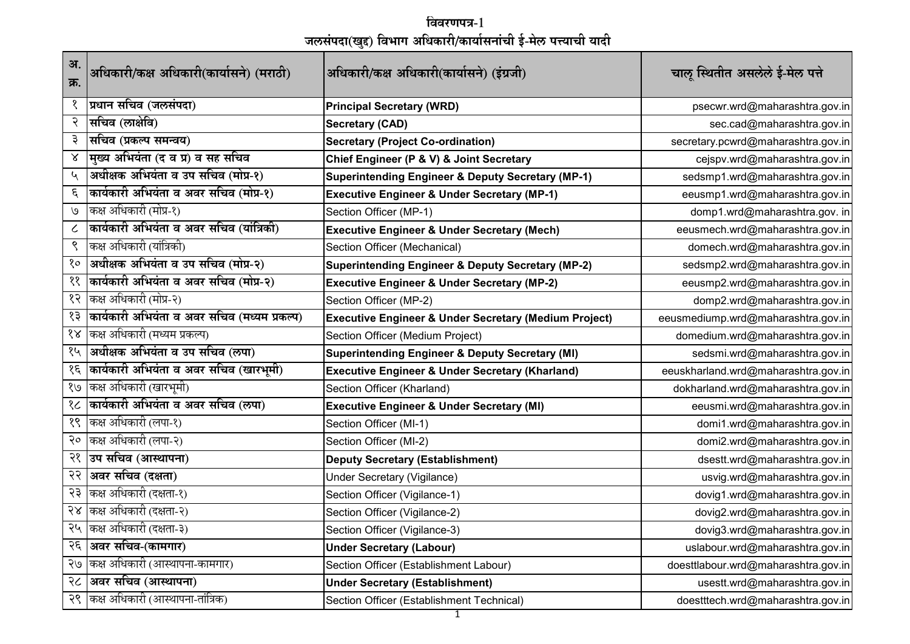**धववरणपि-१ जलसंपदा(खद्दु) धविाग अधिकारी/कार्यासनांची ई-मेल पत्त्र्याची र्यादी**

| अ.<br>क्र.           | अधिकारी/कक्ष अधिकारी(कार्यासने) (मराठी)      | अधिकारी/कक्ष अधिकारी(कार्यासने) (इंग्रजी)                        | चालू स्थितीत असलेले ई-मेल पत्ते     |
|----------------------|----------------------------------------------|------------------------------------------------------------------|-------------------------------------|
| १                    | प्रधान सचिव (जलसंपदा)                        | <b>Principal Secretary (WRD)</b>                                 | psecwr.wrd@maharashtra.gov.in       |
| २                    | सचिव (लाक्षेवि)                              | <b>Secretary (CAD)</b>                                           | sec.cad@maharashtra.gov.in          |
| ३                    | सचिव (प्रकल्प समन्वय)                        | <b>Secretary (Project Co-ordination)</b>                         | secretary.pcwrd@maharashtra.gov.in  |
| Χ                    | मुख्य अभियंता (द व प्र) व सह सचिव            | Chief Engineer (P & V) & Joint Secretary                         | cejspv.wrd@maharashtra.gov.in       |
| ५                    | अधीक्षक अभियंता व उप सचिव (मोप्र-१)          | <b>Superintending Engineer &amp; Deputy Secretary (MP-1)</b>     | sedsmp1.wrd@maharashtra.gov.in      |
| ٤                    | कार्यकारी अभियंता व अवर सचिव (मोप्र-१)       | <b>Executive Engineer &amp; Under Secretary (MP-1)</b>           | eeusmp1.wrd@maharashtra.gov.in      |
| V                    | कक्ष अधिकारी (मोप्र-१)                       | Section Officer (MP-1)                                           | domp1.wrd@maharashtra.gov.in        |
|                      | कार्यकारी अभियंता व अवर सचिव (यांत्रिकी)     | <b>Executive Engineer &amp; Under Secretary (Mech)</b>           | eeusmech.wrd@maharashtra.gov.in     |
| ९                    | कक्ष अधिकारी (यांत्रिकी)                     | Section Officer (Mechanical)                                     | domech.wrd@maharashtra.gov.in       |
| १०                   | अधीक्षक अभियंता व उप सचिव (मोप्र-२)          | <b>Superintending Engineer &amp; Deputy Secretary (MP-2)</b>     | sedsmp2.wrd@maharashtra.gov.in      |
| ११                   | कार्यकारी अभियंता व अवर सचिव (मोप्र-२)       | <b>Executive Engineer &amp; Under Secretary (MP-2)</b>           | eeusmp2.wrd@maharashtra.gov.in      |
| १२                   | कक्ष अधिकारी (मोप्र-२)                       | Section Officer (MP-2)                                           | domp2.wrd@maharashtra.gov.in        |
| १३                   | कार्यकारी अभियंता व अवर सचिव (मध्यम प्रकल्प) | <b>Executive Engineer &amp; Under Secretary (Medium Project)</b> | eeusmediump.wrd@maharashtra.gov.in  |
| $\delta \mathcal{R}$ | कक्ष अधिकारी (मध्यम प्रकल्प)                 | Section Officer (Medium Project)                                 | domedium.wrd@maharashtra.gov.in     |
| १५                   | अधीक्षक अभियंता व उप सचिव (लपा)              | <b>Superintending Engineer &amp; Deputy Secretary (MI)</b>       | sedsmi.wrd@maharashtra.gov.in       |
| १६                   | कार्यकारी अभियंता व अवर सचिव (खारभूमी)       | <b>Executive Engineer &amp; Under Secretary (Kharland)</b>       | eeuskharland.wrd@maharashtra.gov.in |
| 8/9                  | कक्ष अधिकारी (खारभूमी)                       | Section Officer (Kharland)                                       | dokharland.wrd@maharashtra.gov.in   |
| १८                   | कार्यकारी अभियंता व अवर सचिव (लपा)           | <b>Executive Engineer &amp; Under Secretary (MI)</b>             | eeusmi.wrd@maharashtra.gov.in       |
| १९                   | कक्ष अधिकारी (लपा-१)                         | Section Officer (MI-1)                                           | domi1.wrd@maharashtra.gov.in        |
| २०                   | कक्ष अधिकारी (लपा-२)                         | Section Officer (MI-2)                                           | domi2.wrd@maharashtra.gov.in        |
| २१                   | उप सचिव (आस्थापना)                           | <b>Deputy Secretary (Establishment)</b>                          | dsestt.wrd@maharashtra.gov.in       |
| २२                   | अवर सचिव (दक्षता)                            | <b>Under Secretary (Vigilance)</b>                               | usvig.wrd@maharashtra.gov.in        |
| २३                   | कक्ष अधिकारी (दक्षता-१)                      | Section Officer (Vigilance-1)                                    | dovig1.wrd@maharashtra.gov.in       |
| २४                   | कक्ष अधिकारी (दक्षता-२)                      | Section Officer (Vigilance-2)                                    | dovig2.wrd@maharashtra.gov.in       |
| २५                   | कक्ष अधिकारी (दक्षता-३)                      | Section Officer (Vigilance-3)                                    | dovig3.wrd@maharashtra.gov.in       |
| २६                   | अवर सचिव-(कामगार)                            | <b>Under Secretary (Labour)</b>                                  | uslabour.wrd@maharashtra.gov.in     |
| २७                   | कक्ष अधिकारी (आस्थापना-कामगार)               | Section Officer (Establishment Labour)                           | doesttlabour.wrd@maharashtra.gov.in |
| २८                   | अवर सचिव (आस्थापना)                          | <b>Under Secretary (Establishment)</b>                           | usestt.wrd@maharashtra.gov.in       |
| २९                   | कक्ष अधिकारी (आस्थापना-तांत्रिक)             | Section Officer (Establishment Technical)                        | doestttech.wrd@maharashtra.gov.in   |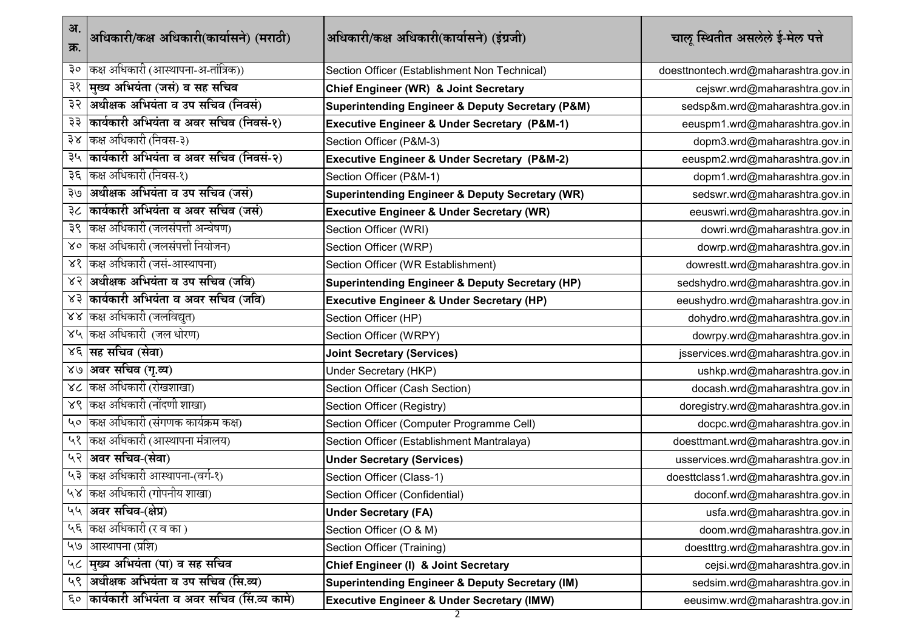| अ.<br>क्र.   | अधिकारी/कक्ष अधिकारी(कार्यासने) (मराठी)     | अधिकारी/कक्ष अधिकारी(कार्यासने) (इंग्रजी)                       | चालू स्थितीत असलेले ई-मेल पत्ते      |
|--------------|---------------------------------------------|-----------------------------------------------------------------|--------------------------------------|
| ३०           | कक्ष अधिकारी (आस्थापना-अ-तांत्रिक))         | Section Officer (Establishment Non Technical)                   | doesttnontech.wrd@maharashtra.gov.in |
| ३१           | मुख्य अभियंता (जसं) व सह सचिव               | Chief Engineer (WR) & Joint Secretary                           | cejswr.wrd@maharashtra.gov.in        |
| ३२           | अधीक्षक अभियंता व उप सचिव (निवसं)           | <b>Superintending Engineer &amp; Deputy Secretary (P&amp;M)</b> | sedsp&m.wrd@maharashtra.gov.in       |
| ३३           | कार्यकारी अभियंता व अवर सचिव (निवसं-१)      | Executive Engineer & Under Secretary (P&M-1)                    | eeuspm1.wrd@maharashtra.gov.in       |
| ३४           | कक्ष अधिकारी (निवस-३)                       | Section Officer (P&M-3)                                         | dopm3.wrd@maharashtra.gov.in         |
| ३५           | कार्यकारी अभियंता व अवर सचिव (निवसं-२)      | <b>Executive Engineer &amp; Under Secretary (P&amp;M-2)</b>     | eeuspm2.wrd@maharashtra.gov.in       |
| ३६           | कक्ष अधिकारी (निवस-१)                       | Section Officer (P&M-1)                                         | dopm1.wrd@maharashtra.gov.in         |
| २७           | अधीक्षक अभियंता व उप सचिव (जसं)             | <b>Superintending Engineer &amp; Deputy Secretary (WR)</b>      | sedswr.wrd@maharashtra.gov.in        |
| ३८           | कार्यकारी अभियंता व अवर सचिव (जसं)          | <b>Executive Engineer &amp; Under Secretary (WR)</b>            | eeuswri.wrd@maharashtra.gov.in       |
| ३९           | किक्ष अधिकारी (जलसंपत्ती अन्वेषण)           | Section Officer (WRI)                                           | dowri.wrd@maharashtra.gov.in         |
| $80^{\circ}$ | कक्ष अधिकारी (जलसंपत्ती नियोजन)             | Section Officer (WRP)                                           | dowrp.wrd@maharashtra.gov.in         |
| ४१           | कक्ष अधिकारी (जसं-आस्थापना)                 | Section Officer (WR Establishment)                              | dowrestt.wrd@maharashtra.gov.in      |
| ४२           | अधीक्षक अभियंता व उप सचिव (जवि)             | <b>Superintending Engineer &amp; Deputy Secretary (HP)</b>      | sedshydro.wrd@maharashtra.gov.in     |
| ४३           | कार्यकारी अभियंता व अवर सचिव (जवि)          | <b>Executive Engineer &amp; Under Secretary (HP)</b>            | eeushydro.wrd@maharashtra.gov.in     |
| 88           | कक्ष अधिकारी (जलविद्युत)                    | Section Officer (HP)                                            | dohydro.wrd@maharashtra.gov.in       |
|              | ४५  कक्ष अधिकारी (जल धोरण)                  | Section Officer (WRPY)                                          | dowrpy.wrd@maharashtra.gov.in        |
|              | ४६ सिंह सचिव (सेवा)                         | <b>Joint Secretary (Services)</b>                               | jsservices.wrd@maharashtra.gov.in    |
| 8/8          | अवर सचिव (गृ.व्य)                           | Under Secretary (HKP)                                           | ushkp.wrd@maharashtra.gov.in         |
| 8<           | कक्ष अधिकारी (रोखशाखा)                      | Section Officer (Cash Section)                                  | docash.wrd@maharashtra.gov.in        |
| 86           | कक्ष अधिकारी (नोंदणी शाखा)                  | Section Officer (Registry)                                      | doregistry.wrd@maharashtra.gov.in    |
| $40^{\circ}$ | किक्ष अधिकारी (संगणक कार्यक्रम कक्ष)        | Section Officer (Computer Programme Cell)                       | docpc.wrd@maharashtra.gov.in         |
| ५१           | कक्ष अधिकारी (आस्थापना मंत्रालय)            | Section Officer (Establishment Mantralaya)                      | doesttmant.wrd@maharashtra.gov.in    |
| ५२           | अवर सचिव-(सेवा)                             | <b>Under Secretary (Services)</b>                               | usservices.wrd@maharashtra.gov.in    |
| ५३           | कक्ष अधिकारी आस्थापना-(वर्ग-१)              | Section Officer (Class-1)                                       | doesttclass1.wrd@maharashtra.gov.in  |
| $\lambda y$  | कक्ष अधिकारी (गोपनीय शाखा)                  | Section Officer (Confidential)                                  | doconf.wrd@maharashtra.gov.in        |
| ५५           | अवर सचिव-(क्षेप्र)                          | <b>Under Secretary (FA)</b>                                     | usfa.wrd@maharashtra.gov.in          |
| $4\epsilon$  | कक्ष अधिकारी (र व का)                       | Section Officer (O & M)                                         | doom.wrd@maharashtra.gov.in          |
| 49           | आस्थापना (प्रशि)                            | Section Officer (Training)                                      | doestttrg.wrd@maharashtra.gov.in     |
| ५८           | मुख्य अभियंता (पा) व सह सचिव                | Chief Engineer (I) & Joint Secretary                            | cejsi.wrd@maharashtra.gov.in         |
| ५९           | अधीक्षक अभियंता व उप सचिव (सि.व्य)          | <b>Superintending Engineer &amp; Deputy Secretary (IM)</b>      | sedsim.wrd@maharashtra.gov.in        |
| $\epsilon$   | कार्यकारी अभियंता व अवर सचिव (सिं.व्य कामे) | <b>Executive Engineer &amp; Under Secretary (IMW)</b>           | eeusimw.wrd@maharashtra.gov.in       |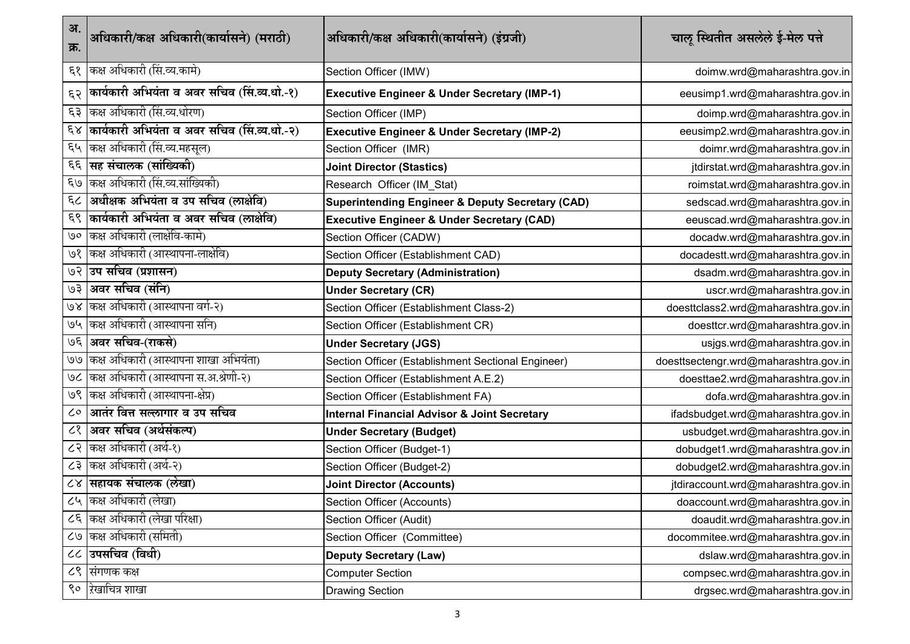| अ.<br>क्र.              | अधिकारी/कक्ष अधिकारी(कार्यासने) (मराठी)     | अधिकारी/कक्ष अधिकारी(कार्यासने) (इंग्रजी)                   | चालू स्थितीत असलेले ई-मेल पत्ते       |
|-------------------------|---------------------------------------------|-------------------------------------------------------------|---------------------------------------|
| $\mathcal{E}$           | कक्ष अधिकारी (सिं.व्य.कामे)                 | Section Officer (IMW)                                       | doimw.wrd@maharashtra.gov.in          |
| ६२                      | कार्यकारी अभियंता व अवर सचिव (सि.व्य.धो.-१) | <b>Executive Engineer &amp; Under Secretary (IMP-1)</b>     | eeusimp1.wrd@maharashtra.gov.in       |
| ६३                      | कक्ष अधिकारी (सि.व्य.धोरण)                  | Section Officer (IMP)                                       | doimp.wrd@maharashtra.gov.in          |
| $\epsilon$ <sub>x</sub> | कार्यकारी अभियंता व अवर सचिव (सि.व्य.धो.-२) | <b>Executive Engineer &amp; Under Secretary (IMP-2)</b>     | eeusimp2.wrd@maharashtra.gov.in       |
| ६५                      | कक्ष अधिकारी (सिं.व्य.महसूल)                | Section Officer (IMR)                                       | doimr.wrd@maharashtra.gov.in          |
| $\epsilon \epsilon$     | सह संचालक (सांख्यिकी)                       | <b>Joint Director (Stastics)</b>                            | jtdirstat.wrd@maharashtra.gov.in      |
| $\epsilon$ /9           | कक्ष अधिकारी (सिं.व्य.सांख्यिकी)            | Research Officer (IM_Stat)                                  | roimstat.wrd@maharashtra.gov.in       |
| $\epsilon$ <            | अधीक्षक अभियंता व उप सचिव (लाक्षेवि)        | <b>Superintending Engineer &amp; Deputy Secretary (CAD)</b> | sedscad.wrd@maharashtra.gov.in        |
| $\epsilon \zeta$        | कार्यकारी अभियंता व अवर सचिव (लाक्षेवि)     | <b>Executive Engineer &amp; Under Secretary (CAD)</b>       | eeuscad.wrd@maharashtra.gov.in        |
| ७०                      | कक्ष अधिकारी (लाक्षेवि-कामे)                | Section Officer (CADW)                                      | docadw.wrd@maharashtra.gov.in         |
| ७१                      | कक्ष अधिकारी (आस्थापना-लाक्षेवि)            | Section Officer (Establishment CAD)                         | docadestt.wrd@maharashtra.gov.in      |
| ७२                      | उप सचिव (प्रशासन)                           | <b>Deputy Secretary (Administration)</b>                    | dsadm.wrd@maharashtra.gov.in          |
| ६७                      | अवर सचिव (संनि)                             | <b>Under Secretary (CR)</b>                                 | uscr.wrd@maharashtra.gov.in           |
| P R                     | कक्ष अधिकारी (आस्थापना वर्ग-२)              | Section Officer (Establishment Class-2)                     | doesttclass2.wrd@maharashtra.gov.in   |
| 94                      | कक्ष अधिकारी (आस्थापना सनि)                 | Section Officer (Establishment CR)                          | doesttcr.wrd@maharashtra.gov.in       |
| ७६                      | अवर सचिव-(राकसे)                            | <b>Under Secretary (JGS)</b>                                | usjgs.wrd@maharashtra.gov.in          |
| U                       | किक्ष अधिकारी (आस्थापना शाखा अभियंता)       | Section Officer (Establishment Sectional Engineer)          | doesttsectengr.wrd@maharashtra.gov.in |
| ७८                      | कक्ष अधिकारी (आस्थापना स.अ.श्रेणी-२)        | Section Officer (Establishment A.E.2)                       | doesttae2.wrd@maharashtra.gov.in      |
| ७९                      | किक्ष अधिकारी (आस्थापना-क्षेप्र)            | Section Officer (Establishment FA)                          | dofa.wrd@maharashtra.gov.in           |
| ८०                      | आतंर वित्त सल्लागार व उप सचिव               | <b>Internal Financial Advisor &amp; Joint Secretary</b>     | ifadsbudget.wrd@maharashtra.gov.in    |
| ८१                      | अवर सचिव (अर्थसंकल्प)                       | <b>Under Secretary (Budget)</b>                             | usbudget.wrd@maharashtra.gov.in       |
| ८२                      | कक्ष अधिकारी (अर्थ-१)                       | Section Officer (Budget-1)                                  | dobudget1.wrd@maharashtra.gov.in      |
| ८३                      | किक्ष अधिकारी (अर्थ-२)                      | Section Officer (Budget-2)                                  | dobudget2.wrd@maharashtra.gov.in      |
|                         | ८४ सहायक संचालक (लेखा)                      | <b>Joint Director (Accounts)</b>                            | jtdiraccount.wrd@maharashtra.gov.in   |
|                         | ८५ कक्ष अधिकारी (लेखा)                      | Section Officer (Accounts)                                  | doaccount.wrd@maharashtra.gov.in      |
| 55                      | कक्ष अधिकारी (लेखा परिक्षा)                 | Section Officer (Audit)                                     | doaudit.wrd@maharashtra.gov.in        |
|                         | ८७  कक्ष अधिकारी (समिती)                    | Section Officer (Committee)                                 | docommitee.wrd@maharashtra.gov.in     |
| $\cal{C}$               | उपसचिव (विधी)                               | <b>Deputy Secretary (Law)</b>                               | dslaw.wrd@maharashtra.gov.in          |
| ८९                      | सिंगणक कक्ष                                 | <b>Computer Section</b>                                     | compsec.wrd@maharashtra.gov.in        |
| ९०                      | रेखाचित्र शाखा                              | <b>Drawing Section</b>                                      | drgsec.wrd@maharashtra.gov.in         |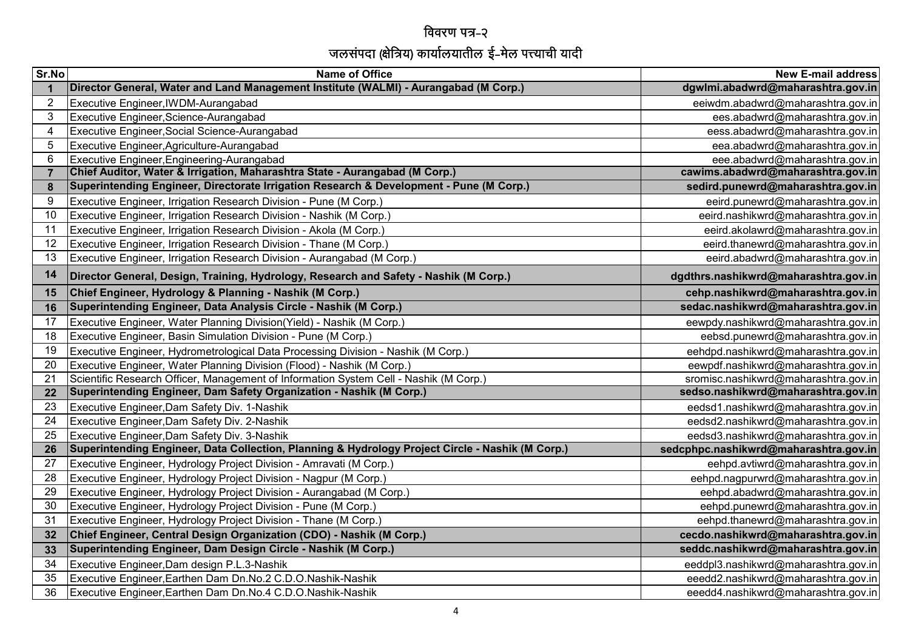## विवरण पत्र-२ जलसंपदा (क्षवेत्रय) कायालयातील ई-मेल पत्त्याची यादी

| Sr.No          | <b>Name of Office</b>                                                                            | <b>New E-mail address</b>             |
|----------------|--------------------------------------------------------------------------------------------------|---------------------------------------|
|                | Director General, Water and Land Management Institute (WALMI) - Aurangabad (M Corp.)             | dgwlmi.abadwrd@maharashtra.gov.in     |
| $\overline{2}$ | Executive Engineer, IWDM-Aurangabad                                                              | eeiwdm.abadwrd@maharashtra.gov.in     |
| 3              | Executive Engineer, Science-Aurangabad                                                           | ees.abadwrd@maharashtra.gov.in        |
| 4              | Executive Engineer, Social Science-Aurangabad                                                    | eess.abadwrd@maharashtra.gov.in       |
| 5              | Executive Engineer, Agriculture-Aurangabad                                                       | eea.abadwrd@maharashtra.gov.in        |
| 6              | Executive Engineer, Engineering-Aurangabad                                                       | eee.abadwrd@maharashtra.gov.in        |
| $\overline{7}$ | Chief Auditor, Water & Irrigation, Maharashtra State - Aurangabad (M Corp.)                      | cawims.abadwrd@maharashtra.gov.in     |
| 8              | Superintending Engineer, Directorate Irrigation Research & Development - Pune (M Corp.)          | sedird.punewrd@maharashtra.gov.in     |
| 9              | Executive Engineer, Irrigation Research Division - Pune (M Corp.)                                | eeird.punewrd@maharashtra.gov.in      |
| 10             | Executive Engineer, Irrigation Research Division - Nashik (M Corp.)                              | eeird.nashikwrd@maharashtra.gov.in    |
| 11             | Executive Engineer, Irrigation Research Division - Akola (M Corp.)                               | eeird.akolawrd@maharashtra.gov.in     |
| 12             | Executive Engineer, Irrigation Research Division - Thane (M Corp.)                               | eeird.thanewrd@maharashtra.gov.in     |
| 13             | Executive Engineer, Irrigation Research Division - Aurangabad (M Corp.)                          | eeird.abadwrd@maharashtra.gov.in      |
| 14             | Director General, Design, Training, Hydrology, Research and Safety - Nashik (M Corp.)            | dgdthrs.nashikwrd@maharashtra.gov.in  |
| 15             | Chief Engineer, Hydrology & Planning - Nashik (M Corp.)                                          | cehp.nashikwrd@maharashtra.gov.in     |
| 16             | Superintending Engineer, Data Analysis Circle - Nashik (M Corp.)                                 | sedac.nashikwrd@maharashtra.gov.in    |
| 17             | Executive Engineer, Water Planning Division(Yield) - Nashik (M Corp.)                            | eewpdy.nashikwrd@maharashtra.gov.in   |
| 18             | Executive Engineer, Basin Simulation Division - Pune (M Corp.)                                   | eebsd.punewrd@maharashtra.gov.in      |
| 19             | Executive Engineer, Hydrometrological Data Processing Division - Nashik (M Corp.)                | eehdpd.nashikwrd@maharashtra.gov.in   |
| 20             | Executive Engineer, Water Planning Division (Flood) - Nashik (M Corp.)                           | eewpdf.nashikwrd@maharashtra.gov.in   |
| 21             | Scientific Research Officer, Management of Information System Cell - Nashik (M Corp.)            | sromisc.nashikwrd@maharashtra.gov.in  |
| 22             | Superintending Engineer, Dam Safety Organization - Nashik (M Corp.)                              | sedso.nashikwrd@maharashtra.gov.in    |
| 23             | Executive Engineer, Dam Safety Div. 1-Nashik                                                     | eedsd1.nashikwrd@maharashtra.gov.in   |
| 24             | Executive Engineer, Dam Safety Div. 2-Nashik                                                     | eedsd2.nashikwrd@maharashtra.gov.in   |
| 25             | Executive Engineer, Dam Safety Div. 3-Nashik                                                     | eedsd3.nashikwrd@maharashtra.gov.in   |
| 26             | Superintending Engineer, Data Collection, Planning & Hydrology Project Circle - Nashik (M Corp.) | sedcphpc.nashikwrd@maharashtra.gov.in |
| 27             | Executive Engineer, Hydrology Project Division - Amravati (M Corp.)                              | eehpd.avtiwrd@maharashtra.gov.in      |
| 28             | Executive Engineer, Hydrology Project Division - Nagpur (M Corp.)                                | eehpd.nagpurwrd@maharashtra.gov.in    |
| 29             | Executive Engineer, Hydrology Project Division - Aurangabad (M Corp.)                            | eehpd.abadwrd@maharashtra.gov.in      |
| 30             | Executive Engineer, Hydrology Project Division - Pune (M Corp.)                                  | eehpd.punewrd@maharashtra.gov.in      |
| 31             | Executive Engineer, Hydrology Project Division - Thane (M Corp.)                                 | eehpd.thanewrd@maharashtra.gov.in     |
| 32             | Chief Engineer, Central Design Organization (CDO) - Nashik (M Corp.)                             | cecdo.nashikwrd@maharashtra.gov.in    |
| 33             | Superintending Engineer, Dam Design Circle - Nashik (M Corp.)                                    | seddc.nashikwrd@maharashtra.gov.in    |
| 34             | Executive Engineer, Dam design P.L.3-Nashik                                                      | eeddpl3.nashikwrd@maharashtra.gov.in  |
| 35             | Executive Engineer, Earthen Dam Dn.No.2 C.D.O.Nashik-Nashik                                      | eeedd2.nashikwrd@maharashtra.gov.in   |
| 36             | Executive Engineer, Earthen Dam Dn.No.4 C.D.O.Nashik-Nashik                                      | eeedd4.nashikwrd@maharashtra.gov.in   |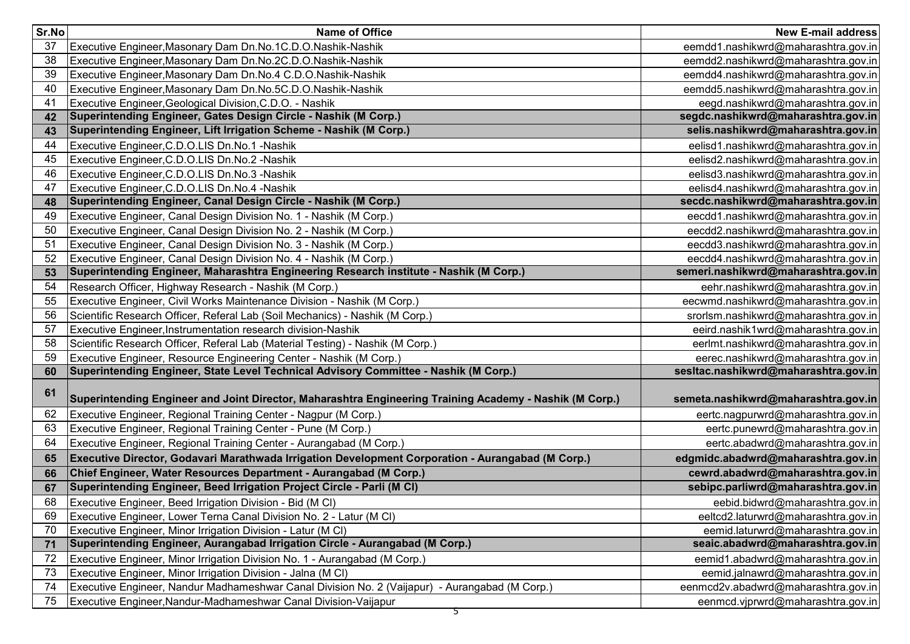| Sr.No | <b>Name of Office</b>                                                                                   | <b>New E-mail address</b>            |
|-------|---------------------------------------------------------------------------------------------------------|--------------------------------------|
| 37    | Executive Engineer, Masonary Dam Dn.No.1C.D.O.Nashik-Nashik                                             | eemdd1.nashikwrd@maharashtra.gov.in  |
| 38    | Executive Engineer, Masonary Dam Dn.No.2C.D.O.Nashik-Nashik                                             | eemdd2.nashikwrd@maharashtra.gov.in  |
| 39    | Executive Engineer, Masonary Dam Dn.No.4 C.D.O.Nashik-Nashik                                            | eemdd4.nashikwrd@maharashtra.gov.in  |
| 40    | Executive Engineer, Masonary Dam Dn.No.5C.D.O.Nashik-Nashik                                             | eemdd5.nashikwrd@maharashtra.gov.in  |
| 41    | Executive Engineer, Geological Division, C.D.O. - Nashik                                                | eegd.nashikwrd@maharashtra.gov.in    |
| 42    | Superintending Engineer, Gates Design Circle - Nashik (M Corp.)                                         | segdc.nashikwrd@maharashtra.gov.in   |
| 43    | Superintending Engineer, Lift Irrigation Scheme - Nashik (M Corp.)                                      | selis.nashikwrd@maharashtra.gov.in   |
| 44    | Executive Engineer, C.D.O.LIS Dn.No.1 - Nashik                                                          | eelisd1.nashikwrd@maharashtra.gov.in |
| 45    | Executive Engineer, C.D.O.LIS Dn.No.2 - Nashik                                                          | eelisd2.nashikwrd@maharashtra.gov.in |
| 46    | Executive Engineer, C.D.O.LIS Dn.No.3 - Nashik                                                          | eelisd3.nashikwrd@maharashtra.gov.in |
| 47    | Executive Engineer, C.D.O.LIS Dn.No.4 - Nashik                                                          | eelisd4.nashikwrd@maharashtra.gov.in |
| 48    | Superintending Engineer, Canal Design Circle - Nashik (M Corp.)                                         | secdc.nashikwrd@maharashtra.gov.in   |
| 49    | Executive Engineer, Canal Design Division No. 1 - Nashik (M Corp.)                                      | eecdd1.nashikwrd@maharashtra.gov.in  |
| 50    | Executive Engineer, Canal Design Division No. 2 - Nashik (M Corp.)                                      | eecdd2.nashikwrd@maharashtra.gov.in  |
| 51    | Executive Engineer, Canal Design Division No. 3 - Nashik (M Corp.)                                      | eecdd3.nashikwrd@maharashtra.gov.in  |
| 52    | Executive Engineer, Canal Design Division No. 4 - Nashik (M Corp.)                                      | eecdd4.nashikwrd@maharashtra.gov.in  |
| 53    | Superintending Engineer, Maharashtra Engineering Research institute - Nashik (M Corp.)                  | semeri.nashikwrd@maharashtra.gov.in  |
| 54    | Research Officer, Highway Research - Nashik (M Corp.)                                                   | eehr.nashikwrd@maharashtra.gov.in    |
| 55    | Executive Engineer, Civil Works Maintenance Division - Nashik (M Corp.)                                 | eecwmd.nashikwrd@maharashtra.gov.in  |
| 56    | Scientific Research Officer, Referal Lab (Soil Mechanics) - Nashik (M Corp.)                            | srorlsm.nashikwrd@maharashtra.gov.in |
| 57    | Executive Engineer, Instrumentation research division-Nashik                                            | eeird.nashik1wrd@maharashtra.gov.in  |
| 58    | Scientific Research Officer, Referal Lab (Material Testing) - Nashik (M Corp.)                          | eerlmt.nashikwrd@maharashtra.gov.in  |
| 59    | Executive Engineer, Resource Engineering Center - Nashik (M Corp.)                                      | eerec.nashikwrd@maharashtra.gov.in   |
| 60    | Superintending Engineer, State Level Technical Advisory Committee - Nashik (M Corp.)                    | sesItac.nashikwrd@maharashtra.gov.in |
| 61    | Superintending Engineer and Joint Director, Maharashtra Engineering Training Academy - Nashik (M Corp.) | semeta.nashikwrd@maharashtra.gov.in  |
| 62    | Executive Engineer, Regional Training Center - Nagpur (M Corp.)                                         | eertc.nagpurwrd@maharashtra.gov.in   |
| 63    | Executive Engineer, Regional Training Center - Pune (M Corp.)                                           | eertc.punewrd@maharashtra.gov.in     |
| 64    | Executive Engineer, Regional Training Center - Aurangabad (M Corp.)                                     | eertc.abadwrd@maharashtra.gov.in     |
| 65    | Executive Director, Godavari Marathwada Irrigation Development Corporation - Aurangabad (M Corp.)       | edgmidc.abadwrd@maharashtra.gov.in   |
| 66    | Chief Engineer, Water Resources Department - Aurangabad (M Corp.)                                       | cewrd.abadwrd@maharashtra.gov.in     |
| 67    | Superintending Engineer, Beed Irrigation Project Circle - Parli (M CI)                                  | sebipc.parliwrd@maharashtra.gov.in   |
| 68    | Executive Engineer, Beed Irrigation Division - Bid (M CI)                                               | eebid.bidwrd@maharashtra.gov.in      |
| 69    | Executive Engineer, Lower Terna Canal Division No. 2 - Latur (M CI)                                     | eeltcd2.laturwrd@maharashtra.gov.in  |
| 70    | Executive Engineer, Minor Irrigation Division - Latur (M CI)                                            | eemid.laturwrd@maharashtra.gov.in    |
| 71    | Superintending Engineer, Aurangabad Irrigation Circle - Aurangabad (M Corp.)                            | seaic.abadwrd@maharashtra.gov.in     |
| 72    | Executive Engineer, Minor Irrigation Division No. 1 - Aurangabad (M Corp.)                              | eemid1.abadwrd@maharashtra.gov.in    |
| 73    | Executive Engineer, Minor Irrigation Division - Jalna (M CI)                                            | eemid.jalnawrd@maharashtra.gov.in    |
| 74    | Executive Engineer, Nandur Madhameshwar Canal Division No. 2 (Vaijapur) - Aurangabad (M Corp.)          | eenmcd2v.abadwrd@maharashtra.gov.in  |
| 75    | Executive Engineer, Nandur-Madhameshwar Canal Division-Vaijapur                                         | eenmcd.vjprwrd@maharashtra.gov.in    |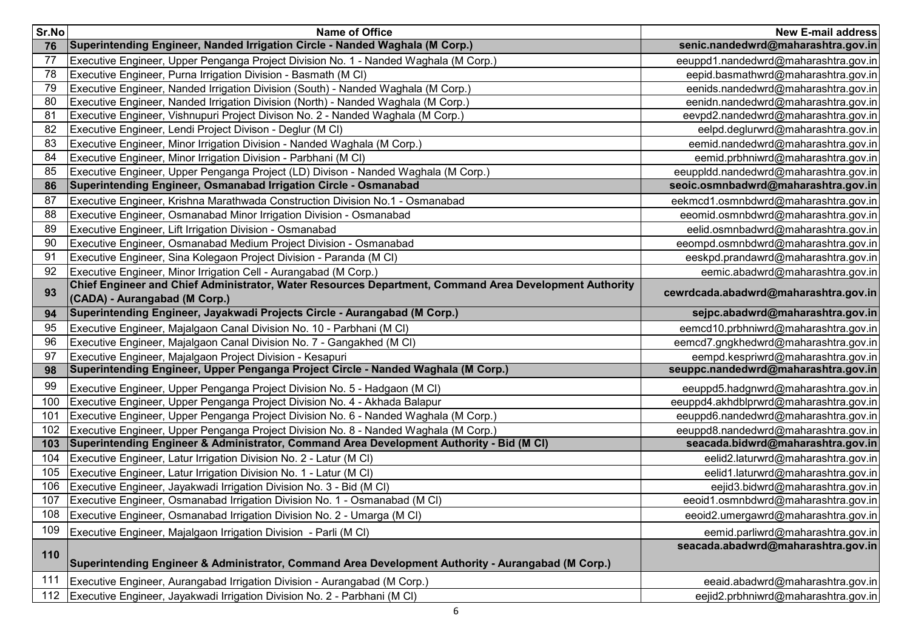| Sr.No | <b>Name of Office</b>                                                                                                                   | <b>New E-mail address</b>              |
|-------|-----------------------------------------------------------------------------------------------------------------------------------------|----------------------------------------|
| 76    | Superintending Engineer, Nanded Irrigation Circle - Nanded Waghala (M Corp.)                                                            | senic.nandedwrd@maharashtra.gov.in     |
| 77    | Executive Engineer, Upper Penganga Project Division No. 1 - Nanded Waghala (M Corp.)                                                    | eeuppd1.nandedwrd@maharashtra.gov.in   |
| 78    | Executive Engineer, Purna Irrigation Division - Basmath (M CI)                                                                          | eepid.basmathwrd@maharashtra.gov.in    |
| 79    | Executive Engineer, Nanded Irrigation Division (South) - Nanded Waghala (M Corp.)                                                       | eenids.nandedwrd@maharashtra.gov.in    |
| 80    | Executive Engineer, Nanded Irrigation Division (North) - Nanded Waghala (M Corp.)                                                       | eenidn.nandedwrd@maharashtra.gov.in    |
| 81    | Executive Engineer, Vishnupuri Project Divison No. 2 - Nanded Waghala (M Corp.)                                                         | eevpd2.nandedwrd@maharashtra.gov.in    |
| 82    | Executive Engineer, Lendi Project Divison - Deglur (M CI)                                                                               | eelpd.deglurwrd@maharashtra.gov.in     |
| 83    | Executive Engineer, Minor Irrigation Division - Nanded Waghala (M Corp.)                                                                | eemid.nandedwrd@maharashtra.gov.in     |
| 84    | Executive Engineer, Minor Irrigation Division - Parbhani (M CI)                                                                         | eemid.prbhniwrd@maharashtra.gov.in     |
| 85    | Executive Engineer, Upper Penganga Project (LD) Divison - Nanded Waghala (M Corp.)                                                      | eeuppldd.nandedwrd@maharashtra.gov.in  |
| 86    | Superintending Engineer, Osmanabad Irrigation Circle - Osmanabad                                                                        | seoic.osmnbadwrd@maharashtra.gov.in    |
| 87    | Executive Engineer, Krishna Marathwada Construction Division No.1 - Osmanabad                                                           | eekmcd1.osmnbdwrd@maharashtra.gov.in   |
| 88    | Executive Engineer, Osmanabad Minor Irrigation Division - Osmanabad                                                                     | eeomid.osmnbdwrd@maharashtra.gov.in    |
| 89    | Executive Engineer, Lift Irrigation Division - Osmanabad                                                                                | eelid.osmnbadwrd@maharashtra.gov.in    |
| 90    | Executive Engineer, Osmanabad Medium Project Division - Osmanabad                                                                       | eeompd.osmnbdwrd@maharashtra.gov.in    |
| 91    | Executive Engineer, Sina Kolegaon Project Division - Paranda (M CI)                                                                     | eeskpd.prandawrd@maharashtra.gov.in    |
| 92    | Executive Engineer, Minor Irrigation Cell - Aurangabad (M Corp.)                                                                        | eemic.abadwrd@maharashtra.gov.in       |
| 93    | Chief Engineer and Chief Administrator, Water Resources Department, Command Area Development Authority<br>(CADA) - Aurangabad (M Corp.) | cewrdcada.abadwrd@maharashtra.gov.in   |
| 94    | Superintending Engineer, Jayakwadi Projects Circle - Aurangabad (M Corp.)                                                               | sejpc.abadwrd@maharashtra.gov.in       |
| 95    | Executive Engineer, Majalgaon Canal Division No. 10 - Parbhani (M CI)                                                                   | eemcd10.prbhniwrd@maharashtra.gov.in   |
| 96    | Executive Engineer, Majalgaon Canal Division No. 7 - Gangakhed (M CI)                                                                   | eemcd7.gngkhedwrd@maharashtra.gov.in   |
| 97    | Executive Engineer, Majalgaon Project Division - Kesapuri                                                                               | eempd.kespriwrd@maharashtra.gov.in     |
| 98    | Superintending Engineer, Upper Penganga Project Circle - Nanded Waghala (M Corp.)                                                       | seuppc.nandedwrd@maharashtra.gov.in    |
| 99    | Executive Engineer, Upper Penganga Project Division No. 5 - Hadgaon (M CI)                                                              | eeuppd5.hadgnwrd@maharashtra.gov.in    |
| 100   | Executive Engineer, Upper Penganga Project Division No. 4 - Akhada Balapur                                                              | eeuppd4.akhdblprwrd@maharashtra.gov.in |
| 101   | Executive Engineer, Upper Penganga Project Division No. 6 - Nanded Waghala (M Corp.)                                                    | eeuppd6.nandedwrd@maharashtra.gov.in   |
| 102   | Executive Engineer, Upper Penganga Project Division No. 8 - Nanded Waghala (M Corp.)                                                    | eeuppd8.nandedwrd@maharashtra.gov.in   |
| 103   | Superintending Engineer & Administrator, Command Area Development Authority - Bid (M CI)                                                | seacada.bidwrd@maharashtra.gov.in      |
| 104   | Executive Engineer, Latur Irrigation Division No. 2 - Latur (M CI)                                                                      | eelid2.laturwrd@maharashtra.gov.in     |
| 105   | Executive Engineer, Latur Irrigation Division No. 1 - Latur (M CI)                                                                      | eelid1.laturwrd@maharashtra.gov.in     |
| 106   | Executive Engineer, Jayakwadi Irrigation Division No. 3 - Bid (M CI)                                                                    | eejid3.bidwrd@maharashtra.gov.in       |
| 107   | Executive Engineer, Osmanabad Irrigation Division No. 1 - Osmanabad (M CI)                                                              | eeoid1.osmnbdwrd@maharashtra.gov.in    |
| 108   | Executive Engineer, Osmanabad Irrigation Division No. 2 - Umarga (M CI)                                                                 | eeoid2.umergawrd@maharashtra.gov.in    |
| 109   | Executive Engineer, Majalgaon Irrigation Division - Parli (M CI)                                                                        | eemid.parliwrd@maharashtra.gov.in      |
|       |                                                                                                                                         | seacada.abadwrd@maharashtra.gov.in     |
| 110   | Superintending Engineer & Administrator, Command Area Development Authority - Aurangabad (M Corp.)                                      |                                        |
| 111   | Executive Engineer, Aurangabad Irrigation Division - Aurangabad (M Corp.)                                                               | eeaid.abadwrd@maharashtra.gov.in       |
| 112   | Executive Engineer, Jayakwadi Irrigation Division No. 2 - Parbhani (M CI)                                                               | eejid2.prbhniwrd@maharashtra.gov.in    |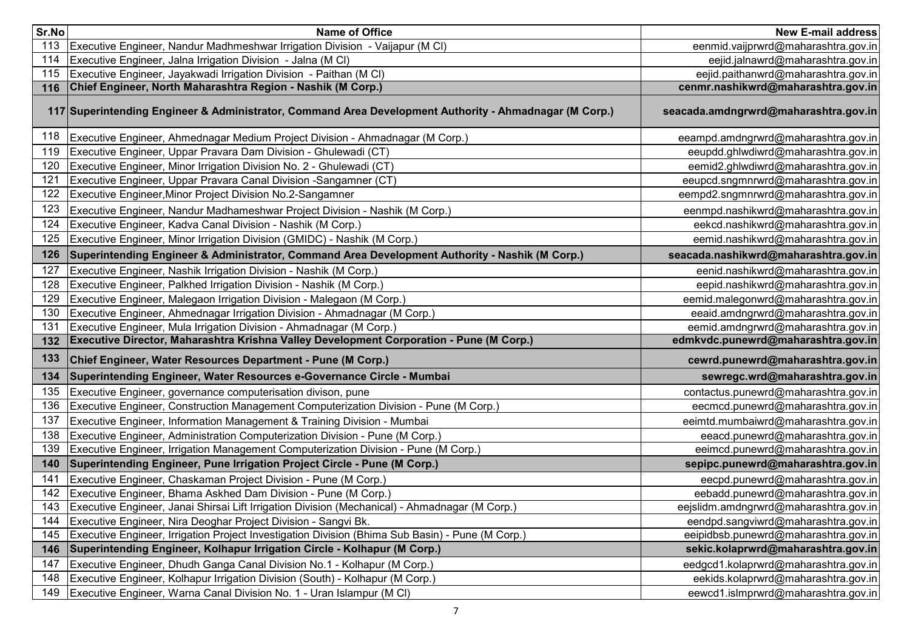| Sr.No | <b>Name of Office</b>                                                                                  | <b>New E-mail address</b>             |
|-------|--------------------------------------------------------------------------------------------------------|---------------------------------------|
| 113   | Executive Engineer, Nandur Madhmeshwar Irrigation Division - Vaijapur (M CI)                           | eenmid.vaijprwrd@maharashtra.gov.in   |
| 114   | Executive Engineer, Jalna Irrigation Division - Jalna (M CI)                                           | eejid.jalnawrd@maharashtra.gov.in     |
| 115   | Executive Engineer, Jayakwadi Irrigation Division - Paithan (M CI)                                     | eejid.paithanwrd@maharashtra.gov.in   |
| 116   | Chief Engineer, North Maharashtra Region - Nashik (M Corp.)                                            | cenmr.nashikwrd@maharashtra.gov.in    |
|       | 117 Superintending Engineer & Administrator, Command Area Development Authority - Ahmadnagar (M Corp.) | seacada.amdngrwrd@maharashtra.gov.in  |
| 118   | Executive Engineer, Ahmednagar Medium Project Division - Ahmadnagar (M Corp.)                          | eeampd.amdngrwrd@maharashtra.gov.in   |
| 119   | Executive Engineer, Uppar Pravara Dam Division - Ghulewadi (CT)                                        | eeupdd.ghlwdiwrd@maharashtra.gov.in   |
| 120   | Executive Engineer, Minor Irrigation Division No. 2 - Ghulewadi (CT)                                   | eemid2.ghlwdiwrd@maharashtra.gov.in   |
| 121   | Executive Engineer, Uppar Pravara Canal Division -Sangamner (CT)                                       | eeupcd.sngmnrwrd@maharashtra.gov.in   |
| 122   | Executive Engineer, Minor Project Division No.2-Sangamner                                              | eempd2.sngmnrwrd@maharashtra.gov.in   |
| 123   | Executive Engineer, Nandur Madhameshwar Project Division - Nashik (M Corp.)                            | eenmpd.nashikwrd@maharashtra.gov.in   |
| 124   | Executive Engineer, Kadva Canal Division - Nashik (M Corp.)                                            | eekcd.nashikwrd@maharashtra.gov.in    |
| 125   | Executive Engineer, Minor Irrigation Division (GMIDC) - Nashik (M Corp.)                               | eemid.nashikwrd@maharashtra.gov.in    |
| 126   | Superintending Engineer & Administrator, Command Area Development Authority - Nashik (M Corp.)         | seacada.nashikwrd@maharashtra.gov.in  |
| 127   | Executive Engineer, Nashik Irrigation Division - Nashik (M Corp.)                                      | eenid.nashikwrd@maharashtra.gov.in    |
| 128   | Executive Engineer, Palkhed Irrigation Division - Nashik (M Corp.)                                     | eepid.nashikwrd@maharashtra.gov.in    |
| 129   | Executive Engineer, Malegaon Irrigation Division - Malegaon (M Corp.)                                  | eemid.malegonwrd@maharashtra.gov.in   |
| 130   | Executive Engineer, Ahmednagar Irrigation Division - Ahmadnagar (M Corp.)                              | eeaid.amdngrwrd@maharashtra.gov.in    |
| 131   | Executive Engineer, Mula Irrigation Division - Ahmadnagar (M Corp.)                                    | eemid.amdngrwrd@maharashtra.gov.in    |
| 132   | Executive Director, Maharashtra Krishna Valley Development Corporation - Pune (M Corp.)                | edmkvdc.punewrd@maharashtra.gov.in    |
| 133   | Chief Engineer, Water Resources Department - Pune (M Corp.)                                            | cewrd.punewrd@maharashtra.gov.in      |
| 134   | Superintending Engineer, Water Resources e-Governance Circle - Mumbai                                  | sewregc.wrd@maharashtra.gov.in        |
| 135   | Executive Engineer, governance computerisation divison, pune                                           | contactus.punewrd@maharashtra.gov.in  |
| 136   | Executive Engineer, Construction Management Computerization Division - Pune (M Corp.)                  | eecmcd.punewrd@maharashtra.gov.in     |
| 137   | Executive Engineer, Information Management & Training Division - Mumbai                                | eeimtd.mumbaiwrd@maharashtra.gov.in   |
| 138   | Executive Engineer, Administration Computerization Division - Pune (M Corp.)                           | eeacd.punewrd@maharashtra.gov.in      |
| 139   | Executive Engineer, Irrigation Management Computerization Division - Pune (M Corp.)                    | eeimcd.punewrd@maharashtra.gov.in     |
| 140   | Superintending Engineer, Pune Irrigation Project Circle - Pune (M Corp.)                               | sepipc.punewrd@maharashtra.gov.in     |
| 141   | Executive Engineer, Chaskaman Project Division - Pune (M Corp.)                                        | eecpd.punewrd@maharashtra.gov.in      |
| 142   | Executive Engineer, Bhama Askhed Dam Division - Pune (M Corp.)                                         | eebadd.punewrd@maharashtra.gov.in     |
| 143   | Executive Engineer, Janai Shirsai Lift Irrigation Division (Mechanical) - Ahmadnagar (M Corp.)         | eejslidm.amdngrwrd@maharashtra.gov.in |
| 144   | Executive Engineer, Nira Deoghar Project Division - Sangvi Bk.                                         | eendpd.sangviwrd@maharashtra.gov.in   |
| 145   | Executive Engineer, Irrigation Project Investigation Division (Bhima Sub Basin) - Pune (M Corp.)       | eeipidbsb.punewrd@maharashtra.gov.in  |
| 146   | Superintending Engineer, Kolhapur Irrigation Circle - Kolhapur (M Corp.)                               | sekic.kolaprwrd@maharashtra.gov.in    |
| 147   | Executive Engineer, Dhudh Ganga Canal Division No.1 - Kolhapur (M Corp.)                               | eedgcd1.kolaprwrd@maharashtra.gov.in  |
| 148   | Executive Engineer, Kolhapur Irrigation Division (South) - Kolhapur (M Corp.)                          | eekids.kolaprwrd@maharashtra.gov.in   |
| 149   | Executive Engineer, Warna Canal Division No. 1 - Uran Islampur (M CI)                                  | eewcd1.islmprwrd@maharashtra.gov.in   |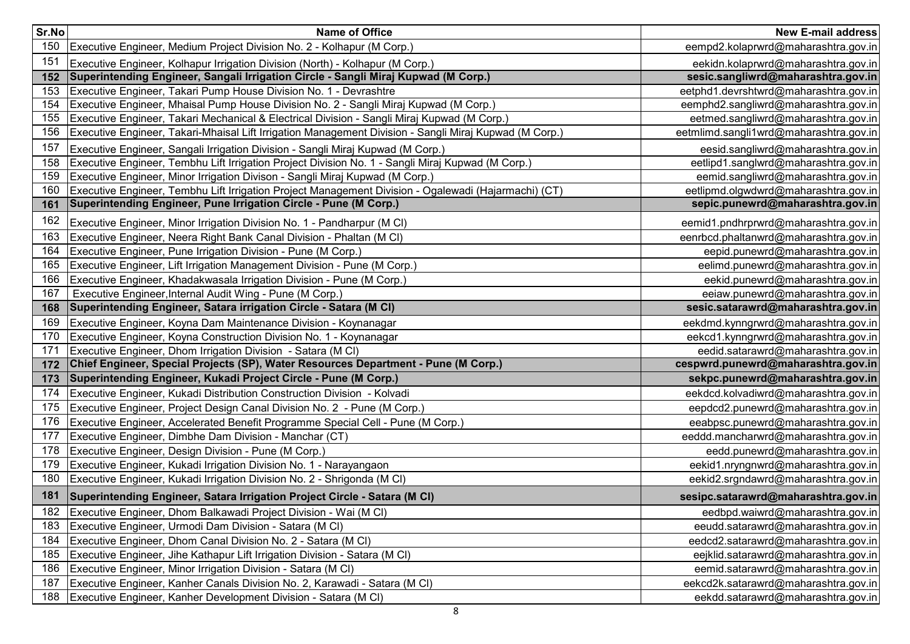| Sr.No | Name of Office                                                                                         | <b>New E-mail address</b>              |
|-------|--------------------------------------------------------------------------------------------------------|----------------------------------------|
| 150   | Executive Engineer, Medium Project Division No. 2 - Kolhapur (M Corp.)                                 | eempd2.kolaprwrd@maharashtra.gov.in    |
| 151   | Executive Engineer, Kolhapur Irrigation Division (North) - Kolhapur (M Corp.)                          | eekidn.kolaprwrd@maharashtra.gov.in    |
| 152   | Superintending Engineer, Sangali Irrigation Circle - Sangli Miraj Kupwad (M Corp.)                     | sesic.sangliwrd@maharashtra.gov.in     |
| 153   | Executive Engineer, Takari Pump House Division No. 1 - Devrashtre                                      | eetphd1.devrshtwrd@maharashtra.gov.in  |
| 154   | Executive Engineer, Mhaisal Pump House Division No. 2 - Sangli Miraj Kupwad (M Corp.)                  | eemphd2.sangliwrd@maharashtra.gov.in   |
| 155   | Executive Engineer, Takari Mechanical & Electrical Division - Sangli Miraj Kupwad (M Corp.)            | eetmed.sangliwrd@maharashtra.gov.in    |
| 156   | Executive Engineer, Takari-Mhaisal Lift Irrigation Management Division - Sangli Miraj Kupwad (M Corp.) | eetmlimd.sangli1wrd@maharashtra.gov.in |
| 157   | Executive Engineer, Sangali Irrigation Division - Sangli Miraj Kupwad (M Corp.)                        | eesid.sangliwrd@maharashtra.gov.in     |
| 158   | Executive Engineer, Tembhu Lift Irrigation Project Division No. 1 - Sangli Miraj Kupwad (M Corp.)      | eetlipd1.sanglwrd@maharashtra.gov.in   |
| 159   | Executive Engineer, Minor Irrigation Divison - Sangli Miraj Kupwad (M Corp.)                           | eemid.sangliwrd@maharashtra.gov.in     |
| 160   | Executive Engineer, Tembhu Lift Irrigation Project Management Division - Ogalewadi (Hajarmachi) (CT)   | eetlipmd.olgwdwrd@maharashtra.gov.in   |
| 161   | Superintending Engineer, Pune Irrigation Circle - Pune (M Corp.)                                       | sepic.punewrd@maharashtra.gov.in       |
| 162   | Executive Engineer, Minor Irrigation Division No. 1 - Pandharpur (M CI)                                | eemid1.pndhrprwrd@maharashtra.gov.in   |
| 163   | Executive Engineer, Neera Right Bank Canal Division - Phaltan (M CI)                                   | eenrbcd.phaltanwrd@maharashtra.gov.in  |
| 164   | Executive Engineer, Pune Irrigation Division - Pune (M Corp.)                                          | eepid.punewrd@maharashtra.gov.in       |
| 165   | Executive Engineer, Lift Irrigation Management Division - Pune (M Corp.)                               | eelimd.punewrd@maharashtra.gov.in      |
| 166   | Executive Engineer, Khadakwasala Irrigation Division - Pune (M Corp.)                                  | eekid.punewrd@maharashtra.gov.in       |
| 167   | Executive Engineer, Internal Audit Wing - Pune (M Corp.)                                               | eeiaw.punewrd@maharashtra.gov.in       |
| 168   | Superintending Engineer, Satara irrigation Circle - Satara (M CI)                                      | sesic.satarawrd@maharashtra.gov.in     |
| 169   | Executive Engineer, Koyna Dam Maintenance Division - Koynanagar                                        | eekdmd.kynngrwrd@maharashtra.gov.in    |
| 170   | Executive Engineer, Koyna Construction Division No. 1 - Koynanagar                                     | eekcd1.kynngrwrd@maharashtra.gov.in    |
| 171   | Executive Engineer, Dhom Irrigation Division - Satara (M CI)                                           | eedid.satarawrd@maharashtra.gov.in     |
| 172   | Chief Engineer, Special Projects (SP), Water Resources Department - Pune (M Corp.)                     | cespwrd.punewrd@maharashtra.gov.in     |
| 173   | Superintending Engineer, Kukadi Project Circle - Pune (M Corp.)                                        | sekpc.punewrd@maharashtra.gov.in       |
| 174   | Executive Engineer, Kukadi Distribution Construction Division - Kolvadi                                | eekdcd.kolvadiwrd@maharashtra.gov.in   |
| 175   | Executive Engineer, Project Design Canal Division No. 2 - Pune (M Corp.)                               | eepdcd2.punewrd@maharashtra.gov.in     |
| 176   | Executive Engineer, Accelerated Benefit Programme Special Cell - Pune (M Corp.)                        | eeabpsc.punewrd@maharashtra.gov.in     |
| 177   | Executive Engineer, Dimbhe Dam Division - Manchar (CT)                                                 | eeddd.mancharwrd@maharashtra.gov.in    |
| 178   | Executive Engineer, Design Division - Pune (M Corp.)                                                   | eedd.punewrd@maharashtra.gov.in        |
| 179   | Executive Engineer, Kukadi Irrigation Division No. 1 - Narayangaon                                     | eekid1.nryngnwrd@maharashtra.gov.in    |
| 180   | Executive Engineer, Kukadi Irrigation Division No. 2 - Shrigonda (M CI)                                | eekid2.srgndawrd@maharashtra.gov.in    |
| 181   | Superintending Engineer, Satara Irrigation Project Circle - Satara (M CI)                              | sesipc.satarawrd@maharashtra.gov.in    |
| 182   | Executive Engineer, Dhom Balkawadi Project Division - Wai (M CI)                                       | eedbpd.waiwrd@maharashtra.gov.in       |
| 183   | Executive Engineer, Urmodi Dam Division - Satara (M CI)                                                | eeudd.satarawrd@maharashtra.gov.in     |
| 184   | Executive Engineer, Dhom Canal Division No. 2 - Satara (M CI)                                          | eedcd2.satarawrd@maharashtra.gov.in    |
| 185   | Executive Engineer, Jihe Kathapur Lift Irrigation Division - Satara (M CI)                             | eejklid.satarawrd@maharashtra.gov.in   |
| 186   | Executive Engineer, Minor Irrigation Division - Satara (M CI)                                          | eemid.satarawrd@maharashtra.gov.in     |
| 187   | Executive Engineer, Kanher Canals Division No. 2, Karawadi - Satara (M CI)                             | eekcd2k.satarawrd@maharashtra.gov.in   |
| 188   | Executive Engineer, Kanher Development Division - Satara (M CI)                                        | eekdd.satarawrd@maharashtra.gov.in     |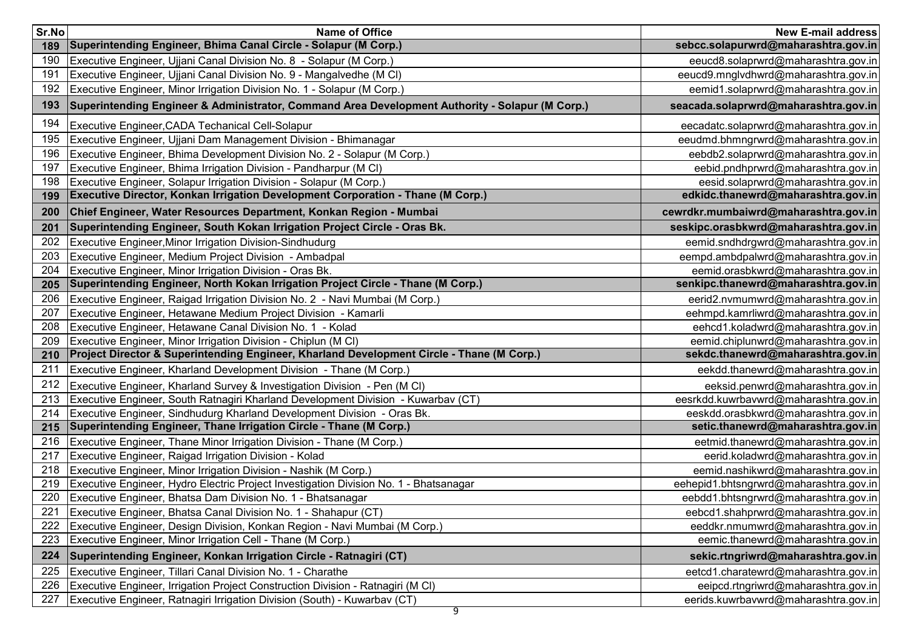| Sr.No  | <b>Name of Office</b>                                                                           | <b>New E-mail address</b>              |
|--------|-------------------------------------------------------------------------------------------------|----------------------------------------|
| 189    | Superintending Engineer, Bhima Canal Circle - Solapur (M Corp.)                                 | sebcc.solapurwrd@maharashtra.gov.in    |
| 190    | Executive Engineer, Ujjani Canal Division No. 8 - Solapur (M Corp.)                             | eeucd8.solaprwrd@maharashtra.gov.in    |
| 191    | Executive Engineer, Ujjani Canal Division No. 9 - Mangalvedhe (M CI)                            | eeucd9.mnglvdhwrd@maharashtra.gov.in   |
| 192    | Executive Engineer, Minor Irrigation Division No. 1 - Solapur (M Corp.)                         | eemid1.solaprwrd@maharashtra.gov.in    |
| 193    | Superintending Engineer & Administrator, Command Area Development Authority - Solapur (M Corp.) | seacada.solaprwrd@maharashtra.gov.in   |
| 194    | Executive Engineer, CADA Techanical Cell-Solapur                                                | eecadatc.solaprwrd@maharashtra.gov.in  |
| 195    | Executive Engineer, Ujjani Dam Management Division - Bhimanagar                                 | eeudmd.bhmngrwrd@maharashtra.gov.in    |
| 196    | Executive Engineer, Bhima Development Division No. 2 - Solapur (M Corp.)                        | eebdb2.solaprwrd@maharashtra.gov.in    |
| 197    | Executive Engineer, Bhima Irrigation Division - Pandharpur (M CI)                               | eebid.pndhprwrd@maharashtra.gov.in     |
| 198    | Executive Engineer, Solapur Irrigation Division - Solapur (M Corp.)                             | eesid.solaprwrd@maharashtra.gov.in     |
| 199    | Executive Director, Konkan Irrigation Development Corporation - Thane (M Corp.)                 | edkidc.thanewrd@maharashtra.gov.in     |
| 200    | Chief Engineer, Water Resources Department, Konkan Region - Mumbai                              | cewrdkr.mumbaiwrd@maharashtra.gov.in   |
| 201    | Superintending Engineer, South Kokan Irrigation Project Circle - Oras Bk.                       | seskipc.orasbkwrd@maharashtra.gov.in   |
| 202    | Executive Engineer, Minor Irrigation Division-Sindhudurg                                        | eemid.sndhdrgwrd@maharashtra.gov.in    |
| 203    | Executive Engineer, Medium Project Division - Ambadpal                                          | eempd.ambdpalwrd@maharashtra.gov.in    |
| 204    | Executive Engineer, Minor Irrigation Division - Oras Bk.                                        | eemid.orasbkwrd@maharashtra.gov.in     |
| 205    | Superintending Engineer, North Kokan Irrigation Project Circle - Thane (M Corp.)                | senkipc.thanewrd@maharashtra.gov.in    |
| 206    | Executive Engineer, Raigad Irrigation Division No. 2 - Navi Mumbai (M Corp.)                    | eerid2.nvmumwrd@maharashtra.gov.in     |
| 207    | Executive Engineer, Hetawane Medium Project Division - Kamarli                                  | eehmpd.kamrliwrd@maharashtra.gov.in    |
| 208    | Executive Engineer, Hetawane Canal Division No. 1 - Kolad                                       | eehcd1.koladwrd@maharashtra.gov.in     |
| 209    | Executive Engineer, Minor Irrigation Division - Chiplun (M CI)                                  | eemid.chiplunwrd@maharashtra.gov.in    |
| 210    | Project Director & Superintending Engineer, Kharland Development Circle - Thane (M Corp.)       | sekdc.thanewrd@maharashtra.gov.in      |
| 211    | Executive Engineer, Kharland Development Division - Thane (M Corp.)                             | eekdd.thanewrd@maharashtra.gov.in      |
| 212    | Executive Engineer, Kharland Survey & Investigation Division - Pen (M CI)                       | eeksid.penwrd@maharashtra.gov.in       |
| 213    | Executive Engineer, South Ratnagiri Kharland Development Division - Kuwarbav (CT)               | eesrkdd.kuwrbavwrd@maharashtra.gov.in  |
| 214    | Executive Engineer, Sindhudurg Kharland Development Division - Oras Bk.                         | eeskdd.orasbkwrd@maharashtra.gov.in    |
| 215    | Superintending Engineer, Thane Irrigation Circle - Thane (M Corp.)                              | setic.thanewrd@maharashtra.gov.in      |
| 216    | Executive Engineer, Thane Minor Irrigation Division - Thane (M Corp.)                           | eetmid.thanewrd@maharashtra.gov.in     |
| 217    | Executive Engineer, Raigad Irrigation Division - Kolad                                          | eerid.koladwrd@maharashtra.gov.in      |
| 218    | Executive Engineer, Minor Irrigation Division - Nashik (M Corp.)                                | eemid.nashikwrd@maharashtra.gov.in     |
| 219    | Executive Engineer, Hydro Electric Project Investigation Division No. 1 - Bhatsanagar           | eehepid1.bhtsngrwrd@maharashtra.gov.in |
| 220    | Executive Engineer, Bhatsa Dam Division No. 1 - Bhatsanagar                                     | eebdd1.bhtsngrwrd@maharashtra.gov.in   |
| $22^r$ | Executive Engineer, Bhatsa Canal Division No. 1 - Shahapur (CT)                                 | eebcd1.shahprwrd@maharashtra.gov.in    |
| 222    | Executive Engineer, Design Division, Konkan Region - Navi Mumbai (M Corp.)                      | eeddkr.nmumwrd@maharashtra.gov.in      |
| 223    | Executive Engineer, Minor Irrigation Cell - Thane (M Corp.)                                     | eemic.thanewrd@maharashtra.gov.in      |
| 224    | Superintending Engineer, Konkan Irrigation Circle - Ratnagiri (CT)                              | sekic.rtngriwrd@maharashtra.gov.in     |
| 225    | Executive Engineer, Tillari Canal Division No. 1 - Charathe                                     | eetcd1.charatewrd@maharashtra.gov.in   |
| 226    | Executive Engineer, Irrigation Project Construction Division - Ratnagiri (M CI)                 | eeipcd.rtngriwrd@maharashtra.gov.in    |
| 227    | Executive Engineer, Ratnagiri Irrigation Division (South) - Kuwarbav (CT)                       | eerids.kuwrbavwrd@maharashtra.gov.in   |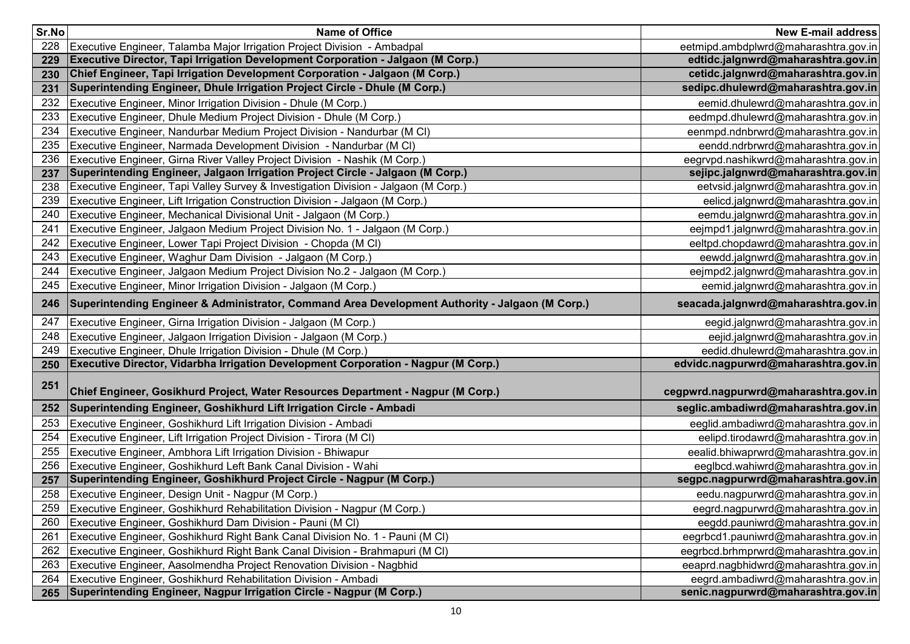| Sr.No | <b>Name of Office</b>                                                                           | <b>New E-mail address</b>            |
|-------|-------------------------------------------------------------------------------------------------|--------------------------------------|
| 228   | Executive Engineer, Talamba Major Irrigation Project Division - Ambadpal                        | eetmipd.ambdplwrd@maharashtra.gov.in |
| 229   | <b>Executive Director, Tapi Irrigation Development Corporation - Jalgaon (M Corp.)</b>          | edtidc.jalgnwrd@maharashtra.gov.in   |
| 230   | Chief Engineer, Tapi Irrigation Development Corporation - Jalgaon (M Corp.)                     | cetidc.jalgnwrd@maharashtra.gov.in   |
| 231   | Superintending Engineer, Dhule Irrigation Project Circle - Dhule (M Corp.)                      | sedipc.dhulewrd@maharashtra.gov.in   |
| 232   | Executive Engineer, Minor Irrigation Division - Dhule (M Corp.)                                 | eemid.dhulewrd@maharashtra.gov.in    |
| 233   | Executive Engineer, Dhule Medium Project Division - Dhule (M Corp.)                             | eedmpd.dhulewrd@maharashtra.gov.in   |
| 234   | Executive Engineer, Nandurbar Medium Project Division - Nandurbar (M CI)                        | eenmpd.ndnbrwrd@maharashtra.gov.in   |
| 235   | Executive Engineer, Narmada Development Division - Nandurbar (M CI)                             | eendd.ndrbrwrd@maharashtra.gov.in    |
| 236   | Executive Engineer, Girna River Valley Project Division - Nashik (M Corp.)                      | eegrypd.nashikwrd@maharashtra.gov.in |
| 237   | <b>Superintending Engineer, Jalgaon Irrigation Project Circle - Jalgaon (M Corp.)</b>           | sejipc.jalgnwrd@maharashtra.gov.in   |
| 238   | Executive Engineer, Tapi Valley Survey & Investigation Division - Jalgaon (M Corp.)             | eetvsid.jalgnwrd@maharashtra.gov.in  |
| 239   | Executive Engineer, Lift Irrigation Construction Division - Jalgaon (M Corp.)                   | eelicd.jalgnwrd@maharashtra.gov.in   |
| 240   | Executive Engineer, Mechanical Divisional Unit - Jalgaon (M Corp.)                              | eemdu.jalgnwrd@maharashtra.gov.in    |
| 241   | Executive Engineer, Jalgaon Medium Project Division No. 1 - Jalgaon (M Corp.)                   | eejmpd1.jalgnwrd@maharashtra.gov.in  |
| 242   | Executive Engineer, Lower Tapi Project Division - Chopda (M CI)                                 | eeltpd.chopdawrd@maharashtra.gov.in  |
| 243   | Executive Engineer, Waghur Dam Division - Jalgaon (M Corp.)                                     | eewdd.jalgnwrd@maharashtra.gov.in    |
| 244   | Executive Engineer, Jalgaon Medium Project Division No.2 - Jalgaon (M Corp.)                    | eejmpd2.jalgnwrd@maharashtra.gov.in  |
| 245   | Executive Engineer, Minor Irrigation Division - Jalgaon (M Corp.)                               | eemid.jalgnwrd@maharashtra.gov.in    |
| 246   | Superintending Engineer & Administrator, Command Area Development Authority - Jalgaon (M Corp.) | seacada.jalgnwrd@maharashtra.gov.in  |
| 247   | Executive Engineer, Girna Irrigation Division - Jalgaon (M Corp.)                               | eegid.jalgnwrd@maharashtra.gov.in    |
| 248   | Executive Engineer, Jalgaon Irrigation Division - Jalgaon (M Corp.)                             | eejid.jalgnwrd@maharashtra.gov.in    |
| 249   | Executive Engineer, Dhule Irrigation Division - Dhule (M Corp.)                                 | eedid.dhulewrd@maharashtra.gov.in    |
| 250   | Executive Director, Vidarbha Irrigation Development Corporation - Nagpur (M Corp.)              | edvidc.nagpurwrd@maharashtra.gov.in  |
| 251   | Chief Engineer, Gosikhurd Project, Water Resources Department - Nagpur (M Corp.)                | cegpwrd.nagpurwrd@maharashtra.gov.in |
| 252   | Superintending Engineer, Goshikhurd Lift Irrigation Circle - Ambadi                             | seglic.ambadiwrd@maharashtra.gov.in  |
| 253   | Executive Engineer, Goshikhurd Lift Irrigation Division - Ambadi                                | eeglid.ambadiwrd@maharashtra.gov.in  |
| 254   | Executive Engineer, Lift Irrigation Project Division - Tirora (M CI)                            | eelipd.tirodawrd@maharashtra.gov.in  |
| 255   | Executive Engineer, Ambhora Lift Irrigation Division - Bhiwapur                                 | eealid.bhiwaprwrd@maharashtra.gov.in |
| 256   | Executive Engineer, Goshikhurd Left Bank Canal Division - Wahi                                  | eeglbcd.wahiwrd@maharashtra.gov.in   |
| 257   | Superintending Engineer, Goshikhurd Project Circle - Nagpur (M Corp.)                           | segpc.nagpurwrd@maharashtra.gov.in   |
| 258   | Executive Engineer, Design Unit - Nagpur (M Corp.)                                              | eedu.nagpurwrd@maharashtra.gov.in    |
| 259   | Executive Engineer, Goshikhurd Rehabilitation Division - Nagpur (M Corp.)                       | eegrd.nagpurwrd@maharashtra.gov.in   |
| 260   | Executive Engineer, Goshikhurd Dam Division - Pauni (M CI)                                      | eegdd.pauniwrd@maharashtra.gov.in    |
| 261   | Executive Engineer, Goshikhurd Right Bank Canal Division No. 1 - Pauni (M CI)                   | eegrbcd1.pauniwrd@maharashtra.gov.in |
| 262   | Executive Engineer, Goshikhurd Right Bank Canal Division - Brahmapuri (M CI)                    | eegrbcd.brhmprwrd@maharashtra.gov.in |
| 263   | Executive Engineer, Aasolmendha Project Renovation Division - Nagbhid                           | eeaprd.nagbhidwrd@maharashtra.gov.in |
| 264   | Executive Engineer, Goshikhurd Rehabilitation Division - Ambadi                                 | eegrd.ambadiwrd@maharashtra.gov.in   |
| 265   | Superintending Engineer, Nagpur Irrigation Circle - Nagpur (M Corp.)                            | senic.nagpurwrd@maharashtra.gov.in   |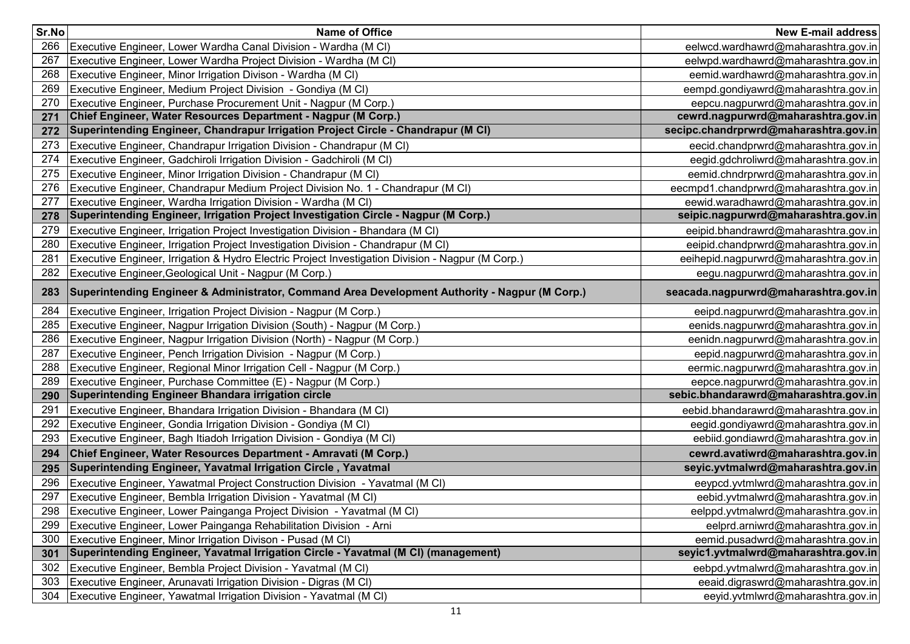| Sr.No | <b>Name of Office</b>                                                                             | <b>New E-mail address</b>             |
|-------|---------------------------------------------------------------------------------------------------|---------------------------------------|
| 266   | Executive Engineer, Lower Wardha Canal Division - Wardha (M CI)                                   | eelwcd.wardhawrd@maharashtra.gov.in   |
| 267   | Executive Engineer, Lower Wardha Project Division - Wardha (M CI)                                 | eelwpd.wardhawrd@maharashtra.gov.in   |
| 268   | Executive Engineer, Minor Irrigation Divison - Wardha (M CI)                                      | eemid.wardhawrd@maharashtra.gov.in    |
| 269   | Executive Engineer, Medium Project Division - Gondiya (M CI)                                      | eempd.gondiyawrd@maharashtra.gov.in   |
| 270   | Executive Engineer, Purchase Procurement Unit - Nagpur (M Corp.)                                  | eepcu.nagpurwrd@maharashtra.gov.in    |
| 271   | Chief Engineer, Water Resources Department - Nagpur (M Corp.)                                     | cewrd.nagpurwrd@maharashtra.gov.in    |
| 272   | Superintending Engineer, Chandrapur Irrigation Project Circle - Chandrapur (M CI)                 | secipc.chandrprwrd@maharashtra.gov.in |
| 273   | Executive Engineer, Chandrapur Irrigation Division - Chandrapur (M CI)                            | eecid.chandprwrd@maharashtra.gov.in   |
| 274   | Executive Engineer, Gadchiroli Irrigation Division - Gadchiroli (M CI)                            | eegid.gdchroliwrd@maharashtra.gov.in  |
| 275   | Executive Engineer, Minor Irrigation Division - Chandrapur (M CI)                                 | eemid.chndrprwrd@maharashtra.gov.in   |
|       | 276 Executive Engineer, Chandrapur Medium Project Division No. 1 - Chandrapur (M Cl)              | eecmpd1.chandprwrd@maharashtra.gov.in |
| 277   | Executive Engineer, Wardha Irrigation Division - Wardha (M CI)                                    | eewid.waradhawrd@maharashtra.gov.in   |
| 278   | Superintending Engineer, Irrigation Project Investigation Circle - Nagpur (M Corp.)               | seipic.nagpurwrd@maharashtra.gov.in   |
| 279   | Executive Engineer, Irrigation Project Investigation Division - Bhandara (M CI)                   | eeipid.bhandrawrd@maharashtra.gov.in  |
| 280   | Executive Engineer, Irrigation Project Investigation Division - Chandrapur (M CI)                 | eeipid.chandprwrd@maharashtra.gov.in  |
| 281   | Executive Engineer, Irrigation & Hydro Electric Project Investigation Division - Nagpur (M Corp.) | eeihepid.nagpurwrd@maharashtra.gov.in |
| 282   | Executive Engineer, Geological Unit - Nagpur (M Corp.)                                            | eegu.nagpurwrd@maharashtra.gov.in     |
| 283   | Superintending Engineer & Administrator, Command Area Development Authority - Nagpur (M Corp.)    | seacada.nagpurwrd@maharashtra.gov.in  |
| 284   | Executive Engineer, Irrigation Project Division - Nagpur (M Corp.)                                | eeipd.nagpurwrd@maharashtra.gov.in    |
| 285   | Executive Engineer, Nagpur Irrigation Division (South) - Nagpur (M Corp.)                         | eenids.nagpurwrd@maharashtra.gov.in   |
| 286   | Executive Engineer, Nagpur Irrigation Division (North) - Nagpur (M Corp.)                         | eenidn.nagpurwrd@maharashtra.gov.in   |
| 287   | Executive Engineer, Pench Irrigation Division - Nagpur (M Corp.)                                  | eepid.nagpurwrd@maharashtra.gov.in    |
| 288   | Executive Engineer, Regional Minor Irrigation Cell - Nagpur (M Corp.)                             | eermic.nagpurwrd@maharashtra.gov.in   |
| 289   | Executive Engineer, Purchase Committee (E) - Nagpur (M Corp.)                                     | eepce.nagpurwrd@maharashtra.gov.in    |
| 290   | Superintending Engineer Bhandara irrigation circle                                                | sebic.bhandarawrd@maharashtra.gov.in  |
| 291   | Executive Engineer, Bhandara Irrigation Division - Bhandara (M CI)                                | eebid.bhandarawrd@maharashtra.gov.in  |
| 292   | Executive Engineer, Gondia Irrigation Division - Gondiya (M CI)                                   | eegid.gondiyawrd@maharashtra.gov.in   |
| 293   | Executive Engineer, Bagh Itiadoh Irrigation Division - Gondiya (M CI)                             | eebiid.gondiawrd@maharashtra.gov.in   |
| 294   | Chief Engineer, Water Resources Department - Amravati (M Corp.)                                   | cewrd.avatiwrd@maharashtra.gov.in     |
| 295   | Superintending Engineer, Yavatmal Irrigation Circle, Yavatmal                                     | seyic.yvtmalwrd@maharashtra.gov.in    |
| 296   | Executive Engineer, Yawatmal Project Construction Division - Yavatmal (M CI)                      | eeypcd.yvtmlwrd@maharashtra.gov.in    |
| 297   | Executive Engineer, Bembla Irrigation Division - Yavatmal (M CI)                                  | eebid.yvtmalwrd@maharashtra.gov.in    |
| 298   | [Executive Engineer, Lower Painganga Project Division - Yavatmal (M CI)                           | eelppd.yvtmalwrd@maharashtra.gov.in   |
| 299   | Executive Engineer, Lower Painganga Rehabilitation Division - Arni                                | eelprd.arniwrd@maharashtra.gov.in     |
| 300   | Executive Engineer, Minor Irrigation Divison - Pusad (M CI)                                       | eemid.pusadwrd@maharashtra.gov.in     |
| 301   | Superintending Engineer, Yavatmal Irrigation Circle - Yavatmal (M CI) (management)                | seyic1.yvtmalwrd@maharashtra.gov.in   |
| 302   | Executive Engineer, Bembla Project Division - Yavatmal (M CI)                                     | eebpd.yvtmalwrd@maharashtra.gov.in    |
| 303   | Executive Engineer, Arunavati Irrigation Division - Digras (M CI)                                 | eeaid.digraswrd@maharashtra.gov.in    |
| 304   | Executive Engineer, Yawatmal Irrigation Division - Yavatmal (M CI)                                | eeyid.yvtmlwrd@maharashtra.gov.in     |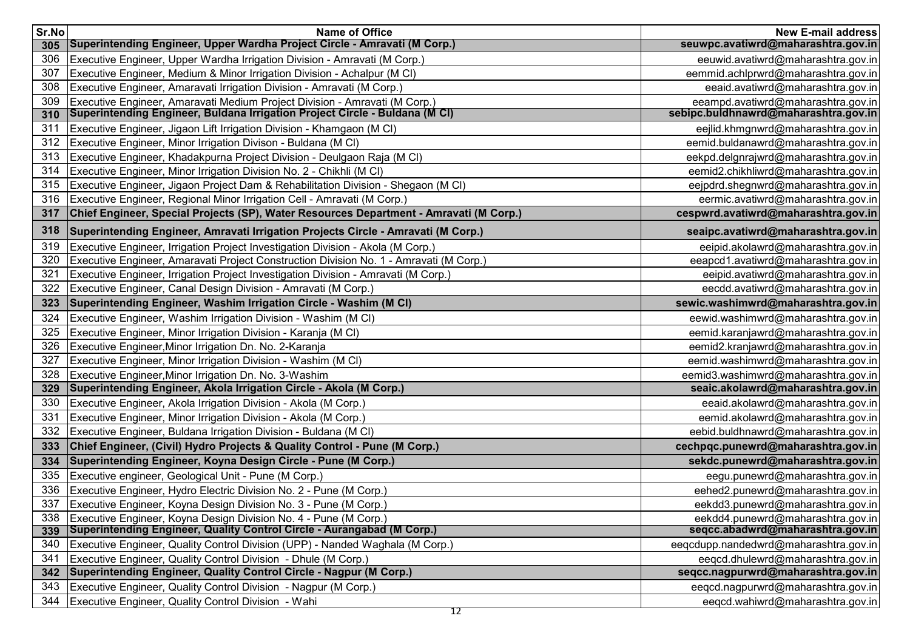| Sr.No | Name of Office                                                                         | <b>New E-mail address</b>             |
|-------|----------------------------------------------------------------------------------------|---------------------------------------|
| 305   | Superintending Engineer, Upper Wardha Project Circle - Amravati (M Corp.)              | seuwpc.avatiwrd@maharashtra.gov.in    |
| 306   | Executive Engineer, Upper Wardha Irrigation Division - Amravati (M Corp.)              | eeuwid.avatiwrd@maharashtra.gov.in    |
| 307   | Executive Engineer, Medium & Minor Irrigation Division - Achalpur (M CI)               | eemmid.achlprwrd@maharashtra.gov.in   |
| 308   | Executive Engineer, Amaravati Irrigation Division - Amravati (M Corp.)                 | eeaid.avatiwrd@maharashtra.gov.in     |
| 309   | Executive Engineer, Amaravati Medium Project Division - Amravati (M Corp.)             | eeampd.avatiwrd@maharashtra.gov.in    |
| 310   | Superintending Engineer, Buldana Irrigation Project Circle - Buldana (M CI)            | sebipc.buldhnawrd@maharashtra.gov.in  |
| 311   | Executive Engineer, Jigaon Lift Irrigation Division - Khamgaon (M CI)                  | eejlid.khmgnwrd@maharashtra.gov.in    |
| 312   | Executive Engineer, Minor Irrigation Divison - Buldana (M CI)                          | eemid.buldanawrd@maharashtra.gov.in   |
| 313   | Executive Engineer, Khadakpurna Project Division - Deulgaon Raja (M CI)                | eekpd.delgnrajwrd@maharashtra.gov.in  |
| 314   | Executive Engineer, Minor Irrigation Division No. 2 - Chikhli (M CI)                   | eemid2.chikhliwrd@maharashtra.gov.in  |
| 315   | Executive Engineer, Jigaon Project Dam & Rehabilitation Division - Shegaon (M Cl)      | eejpdrd.shegnwrd@maharashtra.gov.in   |
| 316   | Executive Engineer, Regional Minor Irrigation Cell - Amravati (M Corp.)                | eermic.avatiwrd@maharashtra.gov.in    |
| 317   | Chief Engineer, Special Projects (SP), Water Resources Department - Amravati (M Corp.) | cespwrd.avatiwrd@maharashtra.gov.in   |
| 318   | Superintending Engineer, Amravati Irrigation Projects Circle - Amravati (M Corp.)      | seaipc.avatiwrd@maharashtra.gov.in    |
| 319   | Executive Engineer, Irrigation Project Investigation Division - Akola (M Corp.)        | eeipid.akolawrd@maharashtra.gov.in    |
| 320   | Executive Engineer, Amaravati Project Construction Division No. 1 - Amravati (M Corp.) | eeapcd1.avatiwrd@maharashtra.gov.in   |
| 321   | Executive Engineer, Irrigation Project Investigation Division - Amravati (M Corp.)     | eeipid.avatiwrd@maharashtra.gov.in    |
| 322   | Executive Engineer, Canal Design Division - Amravati (M Corp.)                         | eecdd.avatiwrd@maharashtra.gov.in     |
| 323   | Superintending Engineer, Washim Irrigation Circle - Washim (M CI)                      | sewic.washimwrd@maharashtra.gov.in    |
| 324   | Executive Engineer, Washim Irrigation Division - Washim (M CI)                         | eewid.washimwrd@maharashtra.gov.in    |
| 325   | Executive Engineer, Minor Irrigation Division - Karanja (M CI)                         | eemid.karanjawrd@maharashtra.gov.in   |
| 326   | Executive Engineer, Minor Irrigation Dn. No. 2-Karanja                                 | eemid2.kranjawrd@maharashtra.gov.in   |
| 327   | Executive Engineer, Minor Irrigation Division - Washim (M CI)                          | eemid.washimwrd@maharashtra.gov.in    |
| 328   | Executive Engineer, Minor Irrigation Dn. No. 3-Washim                                  | eemid3.washimwrd@maharashtra.gov.in   |
| 329   | Superintending Engineer, Akola Irrigation Circle - Akola (M Corp.)                     | seaic.akolawrd@maharashtra.gov.in     |
| 330   | Executive Engineer, Akola Irrigation Division - Akola (M Corp.)                        | eeaid.akolawrd@maharashtra.gov.in     |
| 331   | Executive Engineer, Minor Irrigation Division - Akola (M Corp.)                        | eemid.akolawrd@maharashtra.gov.in     |
| 332   | Executive Engineer, Buldana Irrigation Division - Buldana (M CI)                       | eebid.buldhnawrd@maharashtra.gov.in   |
| 333   | Chief Engineer, (Civil) Hydro Projects & Quality Control - Pune (M Corp.)              | cechpqc.punewrd@maharashtra.gov.in    |
| 334   | Superintending Engineer, Koyna Design Circle - Pune (M Corp.)                          | sekdc.punewrd@maharashtra.gov.in      |
| 335   | Executive engineer, Geological Unit - Pune (M Corp.)                                   | eegu.punewrd@maharashtra.gov.in       |
| 336   | Executive Engineer, Hydro Electric Division No. 2 - Pune (M Corp.)                     | eehed2.punewrd@maharashtra.gov.in     |
| 337   | Executive Engineer, Koyna Design Division No. 3 - Pune (M Corp.)                       | eekdd3.punewrd@maharashtra.gov.in     |
| 338   | Executive Engineer, Koyna Design Division No. 4 - Pune (M Corp.)                       | eekdd4.punewrd@maharashtra.gov.in     |
| 339   | Superintending Engineer, Quality Control Circle - Aurangabad (M Corp.)                 | seqcc.abadwrd@maharashtra.gov.in      |
| 340   | Executive Engineer, Quality Control Division (UPP) - Nanded Waghala (M Corp.)          | eeqcdupp.nandedwrd@maharashtra.gov.in |
| 341   | Executive Engineer, Quality Control Division - Dhule (M Corp.)                         | eegcd.dhulewrd@maharashtra.gov.in     |
| 342   | Superintending Engineer, Quality Control Circle - Nagpur (M Corp.)                     | seqcc.nagpurwrd@maharashtra.gov.in    |
| 343   | Executive Engineer, Quality Control Division - Nagpur (M Corp.)                        | eeqcd.nagpurwrd@maharashtra.gov.in    |
| 344   | Executive Engineer, Quality Control Division - Wahi                                    | eegcd.wahiwrd@maharashtra.gov.in      |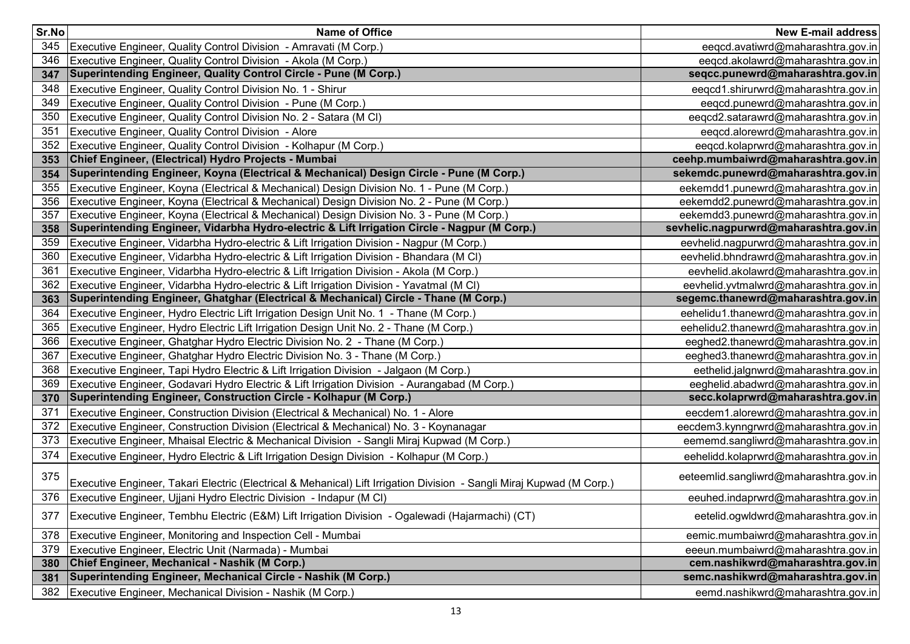| Sr.No | <b>Name of Office</b>                                                                                                 | <b>New E-mail address</b>              |
|-------|-----------------------------------------------------------------------------------------------------------------------|----------------------------------------|
| 345   | Executive Engineer, Quality Control Division - Amravati (M Corp.)                                                     | eeqcd.avatiwrd@maharashtra.gov.in      |
| 346   | Executive Engineer, Quality Control Division - Akola (M Corp.)                                                        | eeqcd.akolawrd@maharashtra.gov.in      |
| 347   | Superintending Engineer, Quality Control Circle - Pune (M Corp.)                                                      | seqcc.punewrd@maharashtra.gov.in       |
| 348   | Executive Engineer, Quality Control Division No. 1 - Shirur                                                           | eeqcd1.shirurwrd@maharashtra.gov.in    |
| 349   | Executive Engineer, Quality Control Division - Pune (M Corp.)                                                         | eeqcd.punewrd@maharashtra.gov.in       |
| 350   | Executive Engineer, Quality Control Division No. 2 - Satara (M CI)                                                    | eeqcd2.satarawrd@maharashtra.gov.in    |
| 351   | Executive Engineer, Quality Control Division - Alore                                                                  | eeqcd.alorewrd@maharashtra.gov.in      |
| 352   | Executive Engineer, Quality Control Division - Kolhapur (M Corp.)                                                     | eeqcd.kolaprwrd@maharashtra.gov.in     |
| 353   | Chief Engineer, (Electrical) Hydro Projects - Mumbai                                                                  | ceehp.mumbaiwrd@maharashtra.gov.in     |
| 354   | Superintending Engineer, Koyna (Electrical & Mechanical) Design Circle - Pune (M Corp.)                               | sekemdc.punewrd@maharashtra.gov.in     |
| 355   | Executive Engineer, Koyna (Electrical & Mechanical) Design Division No. 1 - Pune (M Corp.)                            | eekemdd1.punewrd@maharashtra.gov.in    |
| 356   | Executive Engineer, Koyna (Electrical & Mechanical) Design Division No. 2 - Pune (M Corp.)                            | eekemdd2.punewrd@maharashtra.gov.in    |
| 357   | Executive Engineer, Koyna (Electrical & Mechanical) Design Division No. 3 - Pune (M Corp.)                            | eekemdd3.punewrd@maharashtra.gov.in    |
| 358   | Superintending Engineer, Vidarbha Hydro-electric & Lift Irrigation Circle - Nagpur (M Corp.)                          | sevhelic.nagpurwrd@maharashtra.gov.in  |
| 359   | Executive Engineer, Vidarbha Hydro-electric & Lift Irrigation Division - Nagpur (M Corp.)                             | eevhelid.nagpurwrd@maharashtra.gov.in  |
| 360   | Executive Engineer, Vidarbha Hydro-electric & Lift Irrigation Division - Bhandara (M CI)                              | eevhelid.bhndrawrd@maharashtra.gov.in  |
| 361   | Executive Engineer, Vidarbha Hydro-electric & Lift Irrigation Division - Akola (M Corp.)                              | eevhelid.akolawrd@maharashtra.gov.in   |
| 362   | Executive Engineer, Vidarbha Hydro-electric & Lift Irrigation Division - Yavatmal (M CI)                              | eevhelid.yvtmalwrd@maharashtra.gov.in  |
| 363   | Superintending Engineer, Ghatghar (Electrical & Mechanical) Circle - Thane (M Corp.)                                  | segemc.thanewrd@maharashtra.gov.in     |
| 364   | Executive Engineer, Hydro Electric Lift Irrigation Design Unit No. 1 - Thane (M Corp.)                                | eehelidu1.thanewrd@maharashtra.gov.in  |
| 365   | Executive Engineer, Hydro Electric Lift Irrigation Design Unit No. 2 - Thane (M Corp.)                                | eehelidu2.thanewrd@maharashtra.gov.in  |
| 366   | Executive Engineer, Ghatghar Hydro Electric Division No. 2 - Thane (M Corp.)                                          | eeghed2.thanewrd@maharashtra.gov.in    |
| 367   | Executive Engineer, Ghatghar Hydro Electric Division No. 3 - Thane (M Corp.)                                          | eeghed3.thanewrd@maharashtra.gov.in    |
| 368   | Executive Engineer, Tapi Hydro Electric & Lift Irrigation Division - Jalgaon (M Corp.)                                | eethelid.jalgnwrd@maharashtra.gov.in   |
| 369   | Executive Engineer, Godavari Hydro Electric & Lift Irrigation Division - Aurangabad (M Corp.)                         | eeghelid.abadwrd@maharashtra.gov.in    |
| 370   | Superintending Engineer, Construction Circle - Kolhapur (M Corp.)                                                     | secc.kolaprwrd@maharashtra.gov.in      |
| 371   | Executive Engineer, Construction Division (Electrical & Mechanical) No. 1 - Alore                                     | eecdem1.alorewrd@maharashtra.gov.in    |
| 372   | Executive Engineer, Construction Division (Electrical & Mechanical) No. 3 - Koynanagar                                | eecdem3.kynngrwrd@maharashtra.gov.in   |
| 373   | Executive Engineer, Mhaisal Electric & Mechanical Division - Sangli Miraj Kupwad (M Corp.)                            | eememd.sangliwrd@maharashtra.gov.in    |
| 374   | Executive Engineer, Hydro Electric & Lift Irrigation Design Division - Kolhapur (M Corp.)                             | eehelidd.kolaprwrd@maharashtra.gov.in  |
| 375   | Executive Engineer, Takari Electric (Electrical & Mehanical) Lift Irrigation Division - Sangli Miraj Kupwad (M Corp.) | eeteemlid.sangliwrd@maharashtra.gov.in |
| 376   | Executive Engineer, Ujjani Hydro Electric Division - Indapur (M CI)                                                   | eeuhed.indaprwrd@maharashtra.gov.in    |
| 377   | Executive Engineer, Tembhu Electric (E&M) Lift Irrigation Division - Ogalewadi (Hajarmachi) (CT)                      | eetelid.ogwldwrd@maharashtra.gov.in    |
| 378   | Executive Engineer, Monitoring and Inspection Cell - Mumbai                                                           | eemic.mumbaiwrd@maharashtra.gov.in     |
| 379   | Executive Engineer, Electric Unit (Narmada) - Mumbai                                                                  | eeeun.mumbaiwrd@maharashtra.gov.in     |
| 380   | Chief Engineer, Mechanical - Nashik (M Corp.)                                                                         | cem.nashikwrd@maharashtra.gov.in       |
| 381   | Superintending Engineer, Mechanical Circle - Nashik (M Corp.)                                                         | semc.nashikwrd@maharashtra.gov.in      |
| 382   | Executive Engineer, Mechanical Division - Nashik (M Corp.)                                                            | eemd.nashikwrd@maharashtra.gov.in      |